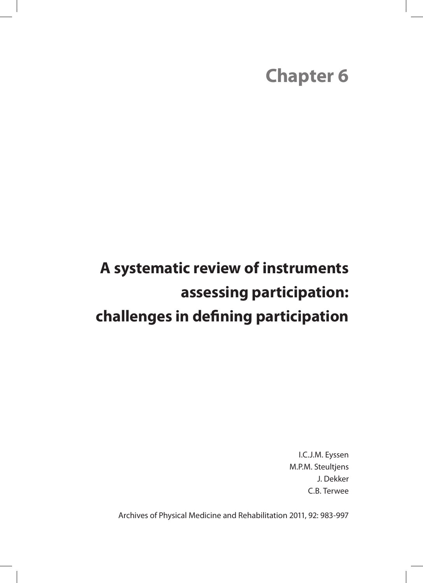# **Chapter 6**

# **A systematic review of instruments assessing participation: challenges in defining participation**

I.C.J.M. Eyssen M.P.M. Steultjens J. Dekker C.B. Terwee

Archives of Physical Medicine and Rehabilitation 2011, 92: 983-997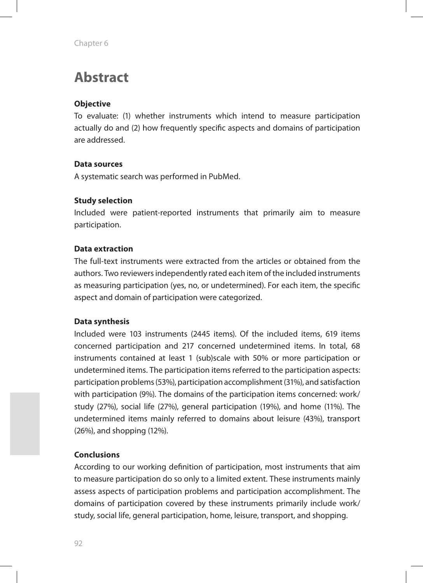# **Abstract**

### **Objective**

To evaluate: (1) whether instruments which intend to measure participation actually do and (2) how frequently specific aspects and domains of participation are addressed.

### **Data sources**

A systematic search was performed in PubMed.

#### **Study selection**

Included were patient-reported instruments that primarily aim to measure participation.

#### **Data extraction**

The full-text instruments were extracted from the articles or obtained from the authors. Two reviewers independently rated each item of the included instruments as measuring participation (yes, no, or undetermined). For each item, the specific aspect and domain of participation were categorized.

### **Data synthesis**

Included were 103 instruments (2445 items). Of the included items, 619 items concerned participation and 217 concerned undetermined items. In total, 68 instruments contained at least 1 (sub)scale with 50% or more participation or undetermined items. The participation items referred to the participation aspects: participation problems (53%), participation accomplishment (31%), and satisfaction with participation (9%). The domains of the participation items concerned: work/ study (27%), social life (27%), general participation (19%), and home (11%). The undetermined items mainly referred to domains about leisure (43%), transport (26%), and shopping (12%).

#### **Conclusions**

According to our working definition of participation, most instruments that aim to measure participation do so only to a limited extent. These instruments mainly assess aspects of participation problems and participation accomplishment. The domains of participation covered by these instruments primarily include work/ study, social life, general participation, home, leisure, transport, and shopping.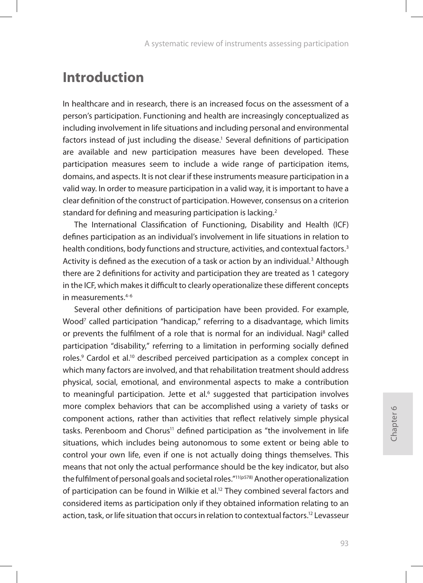# **Introduction**

In healthcare and in research, there is an increased focus on the assessment of a person's participation. Functioning and health are increasingly conceptualized as including involvement in life situations and including personal and environmental factors instead of just including the disease.<sup>1</sup> Several definitions of participation are available and new participation measures have been developed. These participation measures seem to include a wide range of participation items, domains, and aspects. It is not clear if these instruments measure participation in a valid way. In order to measure participation in a valid way, it is important to have a clear definition of the construct of participation. However, consensus on a criterion standard for defining and measuring participation is lacking.<sup>2</sup>

The International Classification of Functioning, Disability and Health (ICF) defines participation as an individual's involvement in life situations in relation to health conditions, body functions and structure, activities, and contextual factors.<sup>3</sup> Activity is defined as the execution of a task or action by an individual.<sup>3</sup> Although there are 2 definitions for activity and participation they are treated as 1 category in the ICF, which makes it difficult to clearly operationalize these different concepts in measurements.4-6

Several other definitions of participation have been provided. For example, Wood<sup>7</sup> called participation "handicap," referring to a disadvantage, which limits or prevents the fulfilment of a role that is normal for an individual. Nagi<sup>8</sup> called participation "disability," referring to a limitation in performing socially defined roles.<sup>9</sup> Cardol et al.<sup>10</sup> described perceived participation as a complex concept in which many factors are involved, and that rehabilitation treatment should address physical, social, emotional, and environmental aspects to make a contribution to meaningful participation. Jette et al.<sup>6</sup> suggested that participation involves more complex behaviors that can be accomplished using a variety of tasks or component actions, rather than activities that reflect relatively simple physical tasks. Perenboom and Chorus<sup>11</sup> defined participation as "the involvement in life situations, which includes being autonomous to some extent or being able to control your own life, even if one is not actually doing things themselves. This means that not only the actual performance should be the key indicator, but also the fulfilment of personal goals and societal roles."11(p578) Another operationalization of participation can be found in Wilkie et al.<sup>12</sup> They combined several factors and considered items as participation only if they obtained information relating to an action, task, or life situation that occurs in relation to contextual factors.<sup>12</sup> Levasseur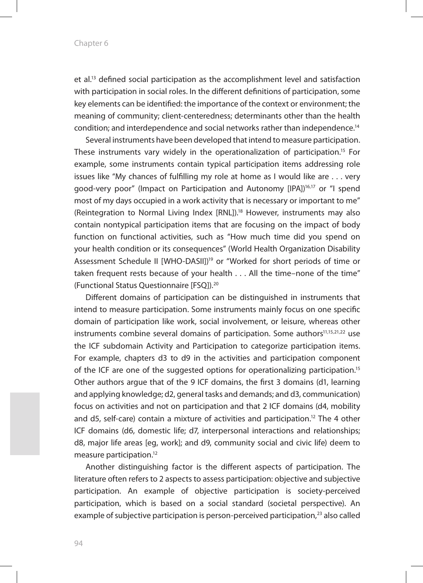et al.13 defined social participation as the accomplishment level and satisfaction with participation in social roles. In the different definitions of participation, some key elements can be identified: the importance of the context or environment; the meaning of community; client-centeredness; determinants other than the health condition; and interdependence and social networks rather than independence.14

Several instruments have been developed that intend to measure participation. These instruments vary widely in the operationalization of participation.15 For example, some instruments contain typical participation items addressing role issues like "My chances of fulfilling my role at home as I would like are . . . very good-very poor" (Impact on Participation and Autonomy [IPA])<sup>16,17</sup> or "I spend most of my days occupied in a work activity that is necessary or important to me" (Reintegration to Normal Living Index [RNL]).18 However, instruments may also contain nontypical participation items that are focusing on the impact of body function on functional activities, such as "How much time did you spend on your health condition or its consequences" (World Health Organization Disability Assessment Schedule II [WHO-DASII])19 or "Worked for short periods of time or taken frequent rests because of your health . . . All the time–none of the time" (Functional Status Questionnaire [FSQ]).20

Different domains of participation can be distinguished in instruments that intend to measure participation. Some instruments mainly focus on one specific domain of participation like work, social involvement, or leisure, whereas other instruments combine several domains of participation. Some authors<sup>11,15,21,22</sup> use the ICF subdomain Activity and Participation to categorize participation items. For example, chapters d3 to d9 in the activities and participation component of the ICF are one of the suggested options for operationalizing participation.15 Other authors argue that of the 9 ICF domains, the first 3 domains (d1, learning and applying knowledge; d2, general tasks and demands; and d3, communication) focus on activities and not on participation and that 2 ICF domains (d4, mobility and d5, self-care) contain a mixture of activities and participation.<sup>12</sup> The 4 other ICF domains (d6, domestic life; d7, interpersonal interactions and relationships; d8, major life areas [eg, work]; and d9, community social and civic life) deem to measure participation.12

Another distinguishing factor is the different aspects of participation. The literature often refers to 2 aspects to assess participation: objective and subjective participation. An example of objective participation is society-perceived participation, which is based on a social standard (societal perspective). An example of subjective participation is person-perceived participation,<sup>23</sup> also called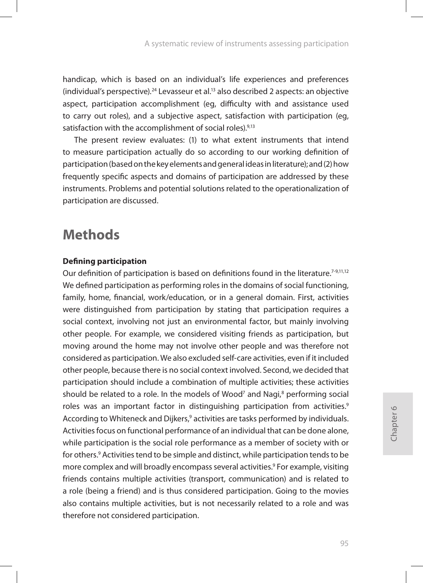handicap, which is based on an individual's life experiences and preferences (individual's perspective).<sup>24</sup> Levasseur et al.<sup>13</sup> also described 2 aspects: an objective aspect, participation accomplishment (eg, difficulty with and assistance used to carry out roles), and a subjective aspect, satisfaction with participation (eg, satisfaction with the accomplishment of social roles).<sup>9,13</sup>

The present review evaluates: (1) to what extent instruments that intend to measure participation actually do so according to our working definition of participation (based on the key elements and general ideas in literature); and (2) how frequently specific aspects and domains of participation are addressed by these instruments. Problems and potential solutions related to the operationalization of participation are discussed.

# **Methods**

### **Defining participation**

Our definition of participation is based on definitions found in the literature.7-9,11,12 We defined participation as performing roles in the domains of social functioning, family, home, financial, work/education, or in a general domain. First, activities were distinguished from participation by stating that participation requires a social context, involving not just an environmental factor, but mainly involving other people. For example, we considered visiting friends as participation, but moving around the home may not involve other people and was therefore not considered as participation. We also excluded self-care activities, even if it included other people, because there is no social context involved. Second, we decided that participation should include a combination of multiple activities; these activities should be related to a role. In the models of Wood<sup>7</sup> and Nagi, $^8$  performing social roles was an important factor in distinguishing participation from activities.<sup>9</sup> According to Whiteneck and Dijkers,<sup>9</sup> activities are tasks performed by individuals. Activities focus on functional performance of an individual that can be done alone, while participation is the social role performance as a member of society with or for others.<sup>9</sup> Activities tend to be simple and distinct, while participation tends to be more complex and will broadly encompass several activities.<sup>9</sup> For example, visiting friends contains multiple activities (transport, communication) and is related to a role (being a friend) and is thus considered participation. Going to the movies also contains multiple activities, but is not necessarily related to a role and was therefore not considered participation.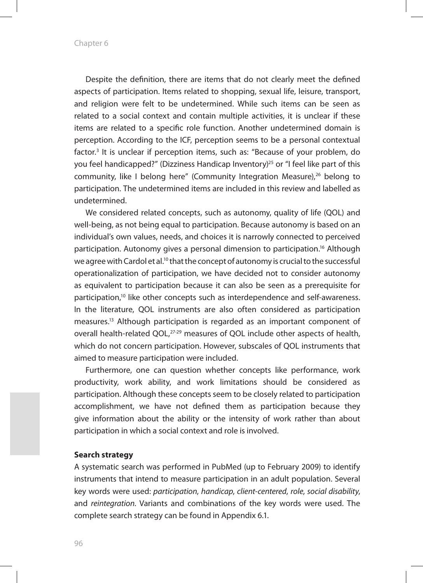Chapter 6

Despite the definition, there are items that do not clearly meet the defined aspects of participation. Items related to shopping, sexual life, leisure, transport, and religion were felt to be undetermined. While such items can be seen as related to a social context and contain multiple activities, it is unclear if these items are related to a specific role function. Another undetermined domain is perception. According to the ICF, perception seems to be a personal contextual factor.<sup>3</sup> It is unclear if perception items, such as: "Because of your problem, do you feel handicapped?" (Dizziness Handicap Inventory)<sup>25</sup> or "I feel like part of this community, like I belong here" (Community Integration Measure),<sup>26</sup> belong to participation. The undetermined items are included in this review and labelled as undetermined.

We considered related concepts, such as autonomy, quality of life (QOL) and well-being, as not being equal to participation. Because autonomy is based on an individual's own values, needs, and choices it is narrowly connected to perceived participation. Autonomy gives a personal dimension to participation.16 Although we agree with Cardol et al.<sup>10</sup> that the concept of autonomy is crucial to the successful operationalization of participation, we have decided not to consider autonomy as equivalent to participation because it can also be seen as a prerequisite for participation,10 like other concepts such as interdependence and self-awareness. In the literature, QOL instruments are also often considered as participation measures.13 Although participation is regarded as an important component of overall health-related QOL,<sup>27-29</sup> measures of QOL include other aspects of health, which do not concern participation. However, subscales of QOL instruments that aimed to measure participation were included.

Furthermore, one can question whether concepts like performance, work productivity, work ability, and work limitations should be considered as participation. Although these concepts seem to be closely related to participation accomplishment, we have not defined them as participation because they give information about the ability or the intensity of work rather than about participation in which a social context and role is involved.

#### **Search strategy**

A systematic search was performed in PubMed (up to February 2009) to identify instruments that intend to measure participation in an adult population. Several key words were used: *participation*, *handicap*, *client-centered*, *role*, *social disability*, and *reintegration*. Variants and combinations of the key words were used. The complete search strategy can be found in Appendix 6.1.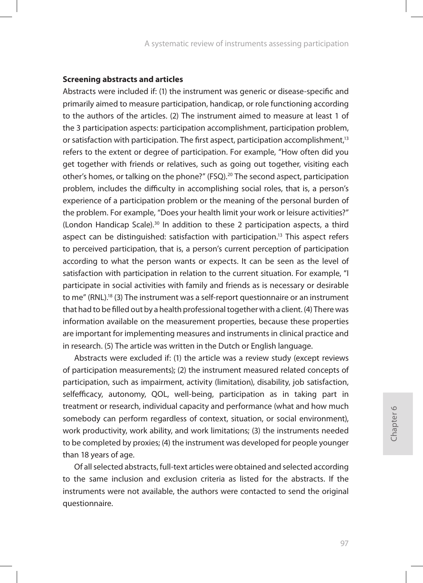#### **Screening abstracts and articles**

Abstracts were included if: (1) the instrument was generic or disease-specific and primarily aimed to measure participation, handicap, or role functioning according to the authors of the articles. (2) The instrument aimed to measure at least 1 of the 3 participation aspects: participation accomplishment, participation problem, or satisfaction with participation. The first aspect, participation accomplishment,<sup>13</sup> refers to the extent or degree of participation. For example, "How often did you get together with friends or relatives, such as going out together, visiting each other's homes, or talking on the phone?" (FSQ).20 The second aspect, participation problem, includes the difficulty in accomplishing social roles, that is, a person's experience of a participation problem or the meaning of the personal burden of the problem. For example, "Does your health limit your work or leisure activities?" (London Handicap Scale).<sup>30</sup> In addition to these 2 participation aspects, a third aspect can be distinguished: satisfaction with participation.<sup>13</sup> This aspect refers to perceived participation, that is, a person's current perception of participation according to what the person wants or expects. It can be seen as the level of satisfaction with participation in relation to the current situation. For example, "I participate in social activities with family and friends as is necessary or desirable to me" (RNL).18 (3) The instrument was a self-report questionnaire or an instrument that had to be filled out by a health professional together with a client. (4) There was information available on the measurement properties, because these properties are important for implementing measures and instruments in clinical practice and in research. (5) The article was written in the Dutch or English language.

Abstracts were excluded if: (1) the article was a review study (except reviews of participation measurements); (2) the instrument measured related concepts of participation, such as impairment, activity (limitation), disability, job satisfaction, selfefficacy, autonomy, QOL, well-being, participation as in taking part in treatment or research, individual capacity and performance (what and how much somebody can perform regardless of context, situation, or social environment), work productivity, work ability, and work limitations; (3) the instruments needed to be completed by proxies; (4) the instrument was developed for people younger than 18 years of age.

Of all selected abstracts, full-text articles were obtained and selected according to the same inclusion and exclusion criteria as listed for the abstracts. If the instruments were not available, the authors were contacted to send the original questionnaire.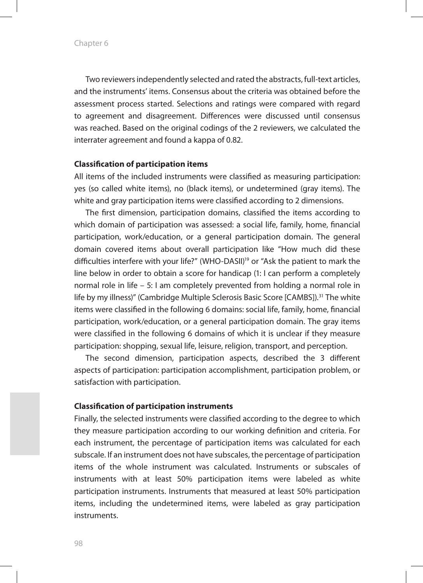Two reviewers independently selected and rated the abstracts, full-text articles, and the instruments' items. Consensus about the criteria was obtained before the assessment process started. Selections and ratings were compared with regard to agreement and disagreement. Differences were discussed until consensus was reached. Based on the original codings of the 2 reviewers, we calculated the interrater agreement and found a kappa of 0.82.

#### **Classification of participation items**

All items of the included instruments were classified as measuring participation: yes (so called white items), no (black items), or undetermined (gray items). The white and gray participation items were classified according to 2 dimensions.

The first dimension, participation domains, classified the items according to which domain of participation was assessed: a social life, family, home, financial participation, work/education, or a general participation domain. The general domain covered items about overall participation like "How much did these difficulties interfere with your life?" (WHO-DASII)19 or "Ask the patient to mark the line below in order to obtain a score for handicap (1: I can perform a completely normal role in life – 5: I am completely prevented from holding a normal role in life by my illness)" (Cambridge Multiple Sclerosis Basic Score [CAMBS]).31 The white items were classified in the following 6 domains: social life, family, home, financial participation, work/education, or a general participation domain. The gray items were classified in the following 6 domains of which it is unclear if they measure participation: shopping, sexual life, leisure, religion, transport, and perception.

The second dimension, participation aspects, described the 3 different aspects of participation: participation accomplishment, participation problem, or satisfaction with participation.

#### **Classification of participation instruments**

Finally, the selected instruments were classified according to the degree to which they measure participation according to our working definition and criteria. For each instrument, the percentage of participation items was calculated for each subscale. If an instrument does not have subscales, the percentage of participation items of the whole instrument was calculated. Instruments or subscales of instruments with at least 50% participation items were labeled as white participation instruments. Instruments that measured at least 50% participation items, including the undetermined items, were labeled as gray participation instruments.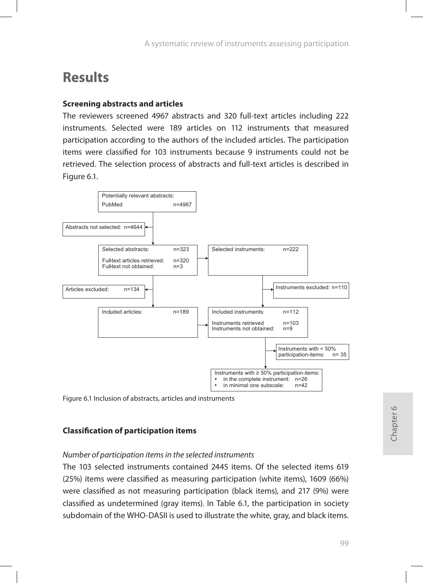# **Results**

### **Screening abstracts and articles**

The reviewers screened 4967 abstracts and 320 full-text articles including 222 instruments. Selected were 189 articles on 112 instruments that measured participation according to the authors of the included articles. The participation items were classified for 103 instruments because 9 instruments could not be retrieved. The selection process of abstracts and full-text articles is described in Figure 6.1.



Figure 6.1 Inclusion of abstracts, articles and instruments

## **Classification of participation items**

### *Number of participation items in the selected instruments*

The 103 selected instruments contained 2445 items. Of the selected items 619 (25%) items were classified as measuring participation (white items), 1609 (66%) were classified as not measuring participation (black items), and 217 (9%) were classified as undetermined (gray items). In Table 6.1, the participation in society subdomain of the WHO-DASII is used to illustrate the white, gray, and black items.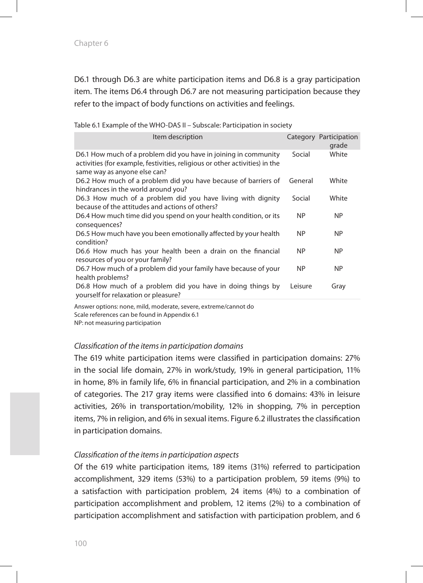D6.1 through D6.3 are white participation items and D6.8 is a gray participation item. The items D6.4 through D6.7 are not measuring participation because they refer to the impact of body functions on activities and feelings.

| Item description                                                                                                                                                               |           | Category Participation<br>grade |
|--------------------------------------------------------------------------------------------------------------------------------------------------------------------------------|-----------|---------------------------------|
| D6.1 How much of a problem did you have in joining in community<br>activities (for example, festivities, religious or other activities) in the<br>same way as anyone else can? | Social    | White                           |
| D6.2 How much of a problem did you have because of barriers of<br>hindrances in the world around you?                                                                          | General   | White                           |
| D6.3 How much of a problem did you have living with dignity<br>because of the attitudes and actions of others?                                                                 | Social    | White                           |
| D6.4 How much time did you spend on your health condition, or its<br>consequences?                                                                                             | <b>NP</b> | NP                              |
| D6.5 How much have you been emotionally affected by your health<br>condition?                                                                                                  | <b>NP</b> | <b>NP</b>                       |
| D6.6 How much has your health been a drain on the financial<br>resources of you or your family?                                                                                | NP        | NP.                             |
| D6.7 How much of a problem did your family have because of your<br>health problems?                                                                                            | <b>NP</b> | <b>NP</b>                       |
| D6.8 How much of a problem did you have in doing things by<br>yourself for relaxation or pleasure?                                                                             | Leisure   | Gray                            |
|                                                                                                                                                                                |           |                                 |

Table 6.1 Example of the WHO-DAS II – Subscale: Participation in society

Answer options: none, mild, moderate, severe, extreme/cannot do Scale references can be found in Appendix 6.1 NP: not measuring participation

#### *Classification of the items in participation domains*

The 619 white participation items were classified in participation domains: 27% in the social life domain, 27% in work/study, 19% in general participation, 11% in home, 8% in family life, 6% in financial participation, and 2% in a combination of categories. The 217 gray items were classified into 6 domains: 43% in leisure activities, 26% in transportation/mobility, 12% in shopping, 7% in perception items, 7% in religion, and 6% in sexual items. Figure 6.2 illustrates the classification in participation domains.

#### *Classification of the items in participation aspects*

Of the 619 white participation items, 189 items (31%) referred to participation accomplishment, 329 items (53%) to a participation problem, 59 items (9%) to a satisfaction with participation problem, 24 items (4%) to a combination of participation accomplishment and problem, 12 items (2%) to a combination of participation accomplishment and satisfaction with participation problem, and 6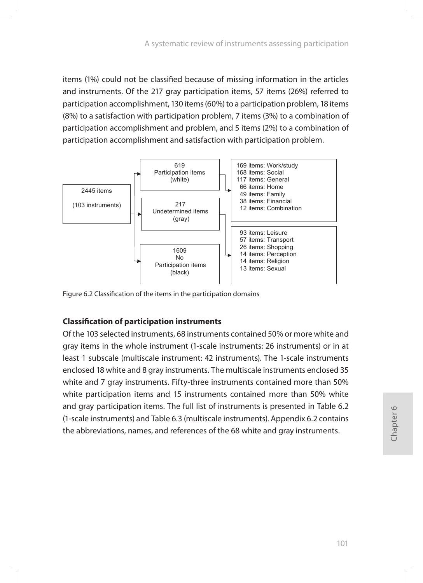items (1%) could not be classified because of missing information in the articles and instruments. Of the 217 gray participation items, 57 items (26%) referred to participation accomplishment, 130 items (60%) to a participation problem, 18 items (8%) to a satisfaction with participation problem, 7 items (3%) to a combination of participation accomplishment and problem, and 5 items (2%) to a combination of participation accomplishment and satisfaction with participation problem.



Figure 6.2 Classification of the items in the participation domains

## **Classification of participation instruments**

Of the 103 selected instruments, 68 instruments contained 50% or more white and gray items in the whole instrument (1-scale instruments: 26 instruments) or in at least 1 subscale (multiscale instrument: 42 instruments). The 1-scale instruments enclosed 18 white and 8 gray instruments. The multiscale instruments enclosed 35 white and 7 gray instruments. Fifty-three instruments contained more than 50% white participation items and 15 instruments contained more than 50% white and gray participation items. The full list of instruments is presented in Table 6.2 (1-scale instruments) and Table 6.3 (multiscale instruments). Appendix 6.2 contains the abbreviations, names, and references of the 68 white and gray instruments.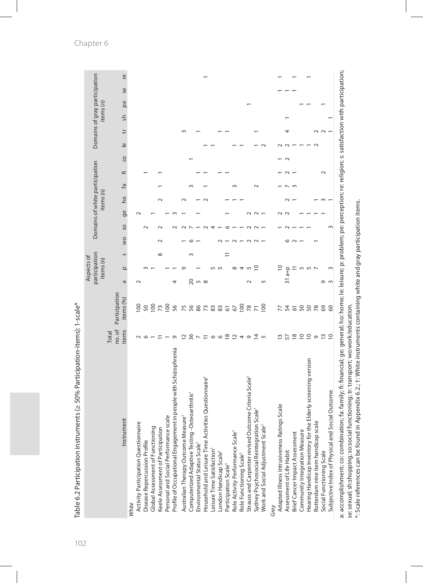| Domains of gray participation<br>Ľ<br><b>Se</b><br>items (n)<br>pe<br>sh<br>ħ<br>$\sim$<br>$\triangleq$<br>co<br>$\sim$<br>Domains of white participation<br>f<br>Γā<br>$\sim$<br>items (n)<br><b>DO</b><br>ge<br>SO<br>VO<br>G<br>participation<br>Ξ<br>$\infty$<br>S<br>$\sim$<br>Aspects of<br>items (n)<br>$\overline{0}$<br>∘<br>$\Omega$<br>$31a+p$<br>20<br>$\sqrt{2}$<br>ā<br>5<br>$\sim$<br>4<br>െന<br>Participation<br>items (%)<br>100<br>$\frac{100}{73}$<br>$\frac{58}{77}$<br>56<br>$8873355$<br>100<br>$\overline{0}$<br>75<br>50<br>7750<br>50<br>78<br>69<br>60<br>no. of<br>items<br>Total<br>$rac{6}{7}$<br><b>106 2049</b><br>202<br>2<br>$\frac{4}{4}$ 5<br>13<br>57<br>$\overline{a}$ 5<br>$\sigma$<br>Q<br>Profile of Occupational Engagement in people with Schizophrenia<br>Hearing Handicap Inventory for the Elderly screening version<br>Strauss and Carpenter revised Outcome Criteria Scale <sup>+</sup><br>Household and Leisure Time Activities Questionnaire <sup>+</sup><br>Social Outcome<br>-Osteoarthritis <sup>+</sup><br>Adapted Illness Intrusiveness Ratings Scale<br>Sydney Psychosocial Reintegration Scalet<br>Australian Therapy Outcome Measure <sup>+</sup><br>Personal and Social Performance scale<br>Instrument<br>Rotterdam nine item handicap scale<br>Activity Participation Questionnaire<br>$\overset{+}{\underline{\mathbb{Q}}}$<br>Global Assessment of Functioning<br>Keele Assessment of Participation<br>Computerized Adaptive Testing<br>Role Activity Performance Scale<br>Work and Social Adjustment Sca<br>Brief Cancer Impact Assessment<br>Community Integration Measure<br>Subjective Index of Physical and<br>Disease Repercussion Profile<br>Environmental Status Scale <sup>+</sup><br>Leisure Time Satisfaction <sup>+</sup><br>Assessment of Life Habit<br>Social Functioning Scale<br>London Handicap Scale <sup>+</sup><br>Role Functioning Scale <sup>+</sup><br>Participation Scale <sup>+</sup><br>Grav |       |  |  |  |  |  |  |  |  |  |
|--------------------------------------------------------------------------------------------------------------------------------------------------------------------------------------------------------------------------------------------------------------------------------------------------------------------------------------------------------------------------------------------------------------------------------------------------------------------------------------------------------------------------------------------------------------------------------------------------------------------------------------------------------------------------------------------------------------------------------------------------------------------------------------------------------------------------------------------------------------------------------------------------------------------------------------------------------------------------------------------------------------------------------------------------------------------------------------------------------------------------------------------------------------------------------------------------------------------------------------------------------------------------------------------------------------------------------------------------------------------------------------------------------------------------------------------------------------------------------------------------------------------------------------------------------------------------------------------------------------------------------------------------------------------------------------------------------------------------------------------------------------------------------------------------------------------------------------------------------------------------------------------------------------------------------------------------------------------------------------|-------|--|--|--|--|--|--|--|--|--|
|                                                                                                                                                                                                                                                                                                                                                                                                                                                                                                                                                                                                                                                                                                                                                                                                                                                                                                                                                                                                                                                                                                                                                                                                                                                                                                                                                                                                                                                                                                                                                                                                                                                                                                                                                                                                                                                                                                                                                                                      |       |  |  |  |  |  |  |  |  |  |
|                                                                                                                                                                                                                                                                                                                                                                                                                                                                                                                                                                                                                                                                                                                                                                                                                                                                                                                                                                                                                                                                                                                                                                                                                                                                                                                                                                                                                                                                                                                                                                                                                                                                                                                                                                                                                                                                                                                                                                                      |       |  |  |  |  |  |  |  |  |  |
|                                                                                                                                                                                                                                                                                                                                                                                                                                                                                                                                                                                                                                                                                                                                                                                                                                                                                                                                                                                                                                                                                                                                                                                                                                                                                                                                                                                                                                                                                                                                                                                                                                                                                                                                                                                                                                                                                                                                                                                      | White |  |  |  |  |  |  |  |  |  |
|                                                                                                                                                                                                                                                                                                                                                                                                                                                                                                                                                                                                                                                                                                                                                                                                                                                                                                                                                                                                                                                                                                                                                                                                                                                                                                                                                                                                                                                                                                                                                                                                                                                                                                                                                                                                                                                                                                                                                                                      |       |  |  |  |  |  |  |  |  |  |
|                                                                                                                                                                                                                                                                                                                                                                                                                                                                                                                                                                                                                                                                                                                                                                                                                                                                                                                                                                                                                                                                                                                                                                                                                                                                                                                                                                                                                                                                                                                                                                                                                                                                                                                                                                                                                                                                                                                                                                                      |       |  |  |  |  |  |  |  |  |  |
|                                                                                                                                                                                                                                                                                                                                                                                                                                                                                                                                                                                                                                                                                                                                                                                                                                                                                                                                                                                                                                                                                                                                                                                                                                                                                                                                                                                                                                                                                                                                                                                                                                                                                                                                                                                                                                                                                                                                                                                      |       |  |  |  |  |  |  |  |  |  |
|                                                                                                                                                                                                                                                                                                                                                                                                                                                                                                                                                                                                                                                                                                                                                                                                                                                                                                                                                                                                                                                                                                                                                                                                                                                                                                                                                                                                                                                                                                                                                                                                                                                                                                                                                                                                                                                                                                                                                                                      |       |  |  |  |  |  |  |  |  |  |
|                                                                                                                                                                                                                                                                                                                                                                                                                                                                                                                                                                                                                                                                                                                                                                                                                                                                                                                                                                                                                                                                                                                                                                                                                                                                                                                                                                                                                                                                                                                                                                                                                                                                                                                                                                                                                                                                                                                                                                                      |       |  |  |  |  |  |  |  |  |  |
|                                                                                                                                                                                                                                                                                                                                                                                                                                                                                                                                                                                                                                                                                                                                                                                                                                                                                                                                                                                                                                                                                                                                                                                                                                                                                                                                                                                                                                                                                                                                                                                                                                                                                                                                                                                                                                                                                                                                                                                      |       |  |  |  |  |  |  |  |  |  |
|                                                                                                                                                                                                                                                                                                                                                                                                                                                                                                                                                                                                                                                                                                                                                                                                                                                                                                                                                                                                                                                                                                                                                                                                                                                                                                                                                                                                                                                                                                                                                                                                                                                                                                                                                                                                                                                                                                                                                                                      |       |  |  |  |  |  |  |  |  |  |
|                                                                                                                                                                                                                                                                                                                                                                                                                                                                                                                                                                                                                                                                                                                                                                                                                                                                                                                                                                                                                                                                                                                                                                                                                                                                                                                                                                                                                                                                                                                                                                                                                                                                                                                                                                                                                                                                                                                                                                                      |       |  |  |  |  |  |  |  |  |  |
|                                                                                                                                                                                                                                                                                                                                                                                                                                                                                                                                                                                                                                                                                                                                                                                                                                                                                                                                                                                                                                                                                                                                                                                                                                                                                                                                                                                                                                                                                                                                                                                                                                                                                                                                                                                                                                                                                                                                                                                      |       |  |  |  |  |  |  |  |  |  |
|                                                                                                                                                                                                                                                                                                                                                                                                                                                                                                                                                                                                                                                                                                                                                                                                                                                                                                                                                                                                                                                                                                                                                                                                                                                                                                                                                                                                                                                                                                                                                                                                                                                                                                                                                                                                                                                                                                                                                                                      |       |  |  |  |  |  |  |  |  |  |
|                                                                                                                                                                                                                                                                                                                                                                                                                                                                                                                                                                                                                                                                                                                                                                                                                                                                                                                                                                                                                                                                                                                                                                                                                                                                                                                                                                                                                                                                                                                                                                                                                                                                                                                                                                                                                                                                                                                                                                                      |       |  |  |  |  |  |  |  |  |  |
|                                                                                                                                                                                                                                                                                                                                                                                                                                                                                                                                                                                                                                                                                                                                                                                                                                                                                                                                                                                                                                                                                                                                                                                                                                                                                                                                                                                                                                                                                                                                                                                                                                                                                                                                                                                                                                                                                                                                                                                      |       |  |  |  |  |  |  |  |  |  |
|                                                                                                                                                                                                                                                                                                                                                                                                                                                                                                                                                                                                                                                                                                                                                                                                                                                                                                                                                                                                                                                                                                                                                                                                                                                                                                                                                                                                                                                                                                                                                                                                                                                                                                                                                                                                                                                                                                                                                                                      |       |  |  |  |  |  |  |  |  |  |
|                                                                                                                                                                                                                                                                                                                                                                                                                                                                                                                                                                                                                                                                                                                                                                                                                                                                                                                                                                                                                                                                                                                                                                                                                                                                                                                                                                                                                                                                                                                                                                                                                                                                                                                                                                                                                                                                                                                                                                                      |       |  |  |  |  |  |  |  |  |  |
|                                                                                                                                                                                                                                                                                                                                                                                                                                                                                                                                                                                                                                                                                                                                                                                                                                                                                                                                                                                                                                                                                                                                                                                                                                                                                                                                                                                                                                                                                                                                                                                                                                                                                                                                                                                                                                                                                                                                                                                      |       |  |  |  |  |  |  |  |  |  |
|                                                                                                                                                                                                                                                                                                                                                                                                                                                                                                                                                                                                                                                                                                                                                                                                                                                                                                                                                                                                                                                                                                                                                                                                                                                                                                                                                                                                                                                                                                                                                                                                                                                                                                                                                                                                                                                                                                                                                                                      |       |  |  |  |  |  |  |  |  |  |
|                                                                                                                                                                                                                                                                                                                                                                                                                                                                                                                                                                                                                                                                                                                                                                                                                                                                                                                                                                                                                                                                                                                                                                                                                                                                                                                                                                                                                                                                                                                                                                                                                                                                                                                                                                                                                                                                                                                                                                                      |       |  |  |  |  |  |  |  |  |  |
|                                                                                                                                                                                                                                                                                                                                                                                                                                                                                                                                                                                                                                                                                                                                                                                                                                                                                                                                                                                                                                                                                                                                                                                                                                                                                                                                                                                                                                                                                                                                                                                                                                                                                                                                                                                                                                                                                                                                                                                      |       |  |  |  |  |  |  |  |  |  |
|                                                                                                                                                                                                                                                                                                                                                                                                                                                                                                                                                                                                                                                                                                                                                                                                                                                                                                                                                                                                                                                                                                                                                                                                                                                                                                                                                                                                                                                                                                                                                                                                                                                                                                                                                                                                                                                                                                                                                                                      |       |  |  |  |  |  |  |  |  |  |
|                                                                                                                                                                                                                                                                                                                                                                                                                                                                                                                                                                                                                                                                                                                                                                                                                                                                                                                                                                                                                                                                                                                                                                                                                                                                                                                                                                                                                                                                                                                                                                                                                                                                                                                                                                                                                                                                                                                                                                                      |       |  |  |  |  |  |  |  |  |  |
|                                                                                                                                                                                                                                                                                                                                                                                                                                                                                                                                                                                                                                                                                                                                                                                                                                                                                                                                                                                                                                                                                                                                                                                                                                                                                                                                                                                                                                                                                                                                                                                                                                                                                                                                                                                                                                                                                                                                                                                      |       |  |  |  |  |  |  |  |  |  |
|                                                                                                                                                                                                                                                                                                                                                                                                                                                                                                                                                                                                                                                                                                                                                                                                                                                                                                                                                                                                                                                                                                                                                                                                                                                                                                                                                                                                                                                                                                                                                                                                                                                                                                                                                                                                                                                                                                                                                                                      |       |  |  |  |  |  |  |  |  |  |
|                                                                                                                                                                                                                                                                                                                                                                                                                                                                                                                                                                                                                                                                                                                                                                                                                                                                                                                                                                                                                                                                                                                                                                                                                                                                                                                                                                                                                                                                                                                                                                                                                                                                                                                                                                                                                                                                                                                                                                                      |       |  |  |  |  |  |  |  |  |  |
|                                                                                                                                                                                                                                                                                                                                                                                                                                                                                                                                                                                                                                                                                                                                                                                                                                                                                                                                                                                                                                                                                                                                                                                                                                                                                                                                                                                                                                                                                                                                                                                                                                                                                                                                                                                                                                                                                                                                                                                      |       |  |  |  |  |  |  |  |  |  |
|                                                                                                                                                                                                                                                                                                                                                                                                                                                                                                                                                                                                                                                                                                                                                                                                                                                                                                                                                                                                                                                                                                                                                                                                                                                                                                                                                                                                                                                                                                                                                                                                                                                                                                                                                                                                                                                                                                                                                                                      |       |  |  |  |  |  |  |  |  |  |
|                                                                                                                                                                                                                                                                                                                                                                                                                                                                                                                                                                                                                                                                                                                                                                                                                                                                                                                                                                                                                                                                                                                                                                                                                                                                                                                                                                                                                                                                                                                                                                                                                                                                                                                                                                                                                                                                                                                                                                                      |       |  |  |  |  |  |  |  |  |  |
|                                                                                                                                                                                                                                                                                                                                                                                                                                                                                                                                                                                                                                                                                                                                                                                                                                                                                                                                                                                                                                                                                                                                                                                                                                                                                                                                                                                                                                                                                                                                                                                                                                                                                                                                                                                                                                                                                                                                                                                      |       |  |  |  |  |  |  |  |  |  |

Table 6.2 Participation instruments (≥ 50% Participation-items): 1-scale\* Table 6.2 Participation instruments (≥ 50% Participation-items): 1-scale\* a: accomplishment; co: combination; fa: family; fi: financial; ge: general; ho: home; le: leisure; p: problem; pe: perception; re: religion; s: satisfaction with participation;<br>se: sexual; sh:shopping; so:social functionin a: accomplishment; co: combination; fa: family; fi: financial; ge: general; ho: home; le: leisure; p: problem; pe: perception; re: religion; s: satisfaction with participation; se: sexual; sh:shopping; so:social functioning; tr: transport; wo:work/education.

\*: Scale references can be found in Appendix 6.2.; †: White instruments containing white and gray participation items.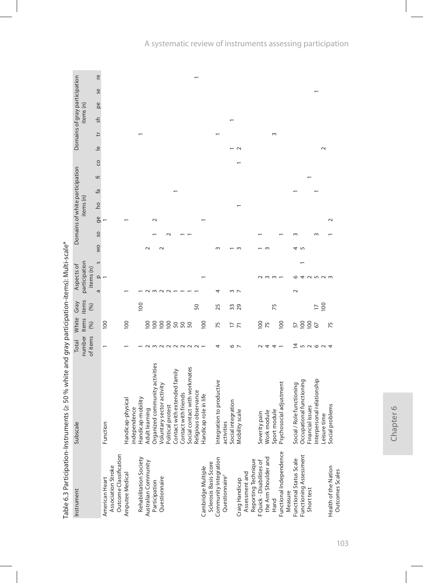|                                      | dole o.3 Paris : Multipologic Darud Multipologic Systems (2 5) % oc < > 0.2 Paris : Farus : Multipologic Darud Multipologic Darud Multipologic Darud Multipologic Darud Multipologic Darud Multipologic Darud Multipologic Dar |                    |               |                 |                            |   |        |          |           |                                |   |    |                         |        |               |    |                               |
|--------------------------------------|--------------------------------------------------------------------------------------------------------------------------------------------------------------------------------------------------------------------------------|--------------------|---------------|-----------------|----------------------------|---|--------|----------|-----------|--------------------------------|---|----|-------------------------|--------|---------------|----|-------------------------------|
| Instrument                           | Subscale                                                                                                                                                                                                                       | Total              | White         | Gray            | Aspects of                 |   |        |          |           | Domains of white participation |   |    |                         |        |               |    | Domains of gray participation |
|                                      |                                                                                                                                                                                                                                | number<br>of items | items<br>(%)  | items<br>(96)   | participation<br>items (n) |   |        |          | items (n) |                                |   |    |                         |        | items (n)     |    |                               |
|                                      |                                                                                                                                                                                                                                |                    |               |                 | $\Omega$<br>$\sigma$       | S | wo     | ge<br>SO | <b>D</b>  | م<br>P                         | F | CO | $\overline{\mathsf{e}}$ | ŧ      | $\frac{1}{2}$ | pe | Ľē<br>Se                      |
| Association Stroke<br>American Heart | Function                                                                                                                                                                                                                       |                    | 100           |                 |                            |   |        |          |           |                                |   |    |                         |        |               |    |                               |
| Outcome Classification               |                                                                                                                                                                                                                                |                    |               |                 |                            |   |        |          |           |                                |   |    |                         |        |               |    |                               |
| Amputee Medical                      | Handicap-physical                                                                                                                                                                                                              |                    | 100           |                 |                            |   |        |          |           |                                |   |    |                         |        |               |    |                               |
|                                      | independence                                                                                                                                                                                                                   |                    |               |                 |                            |   |        |          |           |                                |   |    |                         |        |               |    |                               |
| Rehabilitation Society               | Handicap-mobility                                                                                                                                                                                                              |                    |               | 100             |                            |   |        |          |           |                                |   |    |                         |        |               |    |                               |
| Australian Community                 | Adult learning                                                                                                                                                                                                                 |                    | 100           |                 |                            |   | $\sim$ |          |           |                                |   |    |                         |        |               |    |                               |
| Participation                        | Organized community activities                                                                                                                                                                                                 |                    |               |                 |                            |   |        | $\sim$   |           |                                |   |    |                         |        |               |    |                               |
| Questionnaire                        | Voluntary sector activity                                                                                                                                                                                                      | $M \cap N$         |               |                 |                            |   | $\sim$ |          |           |                                |   |    |                         |        |               |    |                               |
|                                      | Political protest                                                                                                                                                                                                              |                    |               |                 |                            |   |        |          |           |                                |   |    |                         |        |               |    |                               |
|                                      | Contact with extended family                                                                                                                                                                                                   | $\sim$             | 222222        |                 |                            |   |        |          |           |                                |   |    |                         |        |               |    |                               |
|                                      | Contact with friends                                                                                                                                                                                                           |                    |               |                 |                            |   |        |          |           |                                |   |    |                         |        |               |    |                               |
|                                      | Social contact with workmates                                                                                                                                                                                                  | $\sim$ $\sim$      |               |                 |                            |   |        |          |           |                                |   |    |                         |        |               |    |                               |
|                                      | Religious observance                                                                                                                                                                                                           |                    |               | 50              |                            |   |        |          |           |                                |   |    |                         |        |               |    |                               |
| Cambridge Multiple                   | Handicap role in life                                                                                                                                                                                                          |                    | 100           |                 |                            |   |        |          |           |                                |   |    |                         |        |               |    |                               |
| Sclerosis Basis Score                |                                                                                                                                                                                                                                |                    |               |                 |                            |   |        |          |           |                                |   |    |                         |        |               |    |                               |
| Community Integration                | Integration to productive                                                                                                                                                                                                      | 4                  | 75            | 25              | 4                          |   | 3      |          |           |                                |   |    |                         |        |               |    |                               |
| Questionnaire <sup>+</sup>           | activities                                                                                                                                                                                                                     |                    |               |                 |                            |   |        |          |           |                                |   |    |                         |        |               |    |                               |
|                                      | Social integration                                                                                                                                                                                                             | 6                  | $\frac{1}{2}$ | 33              | $\sim$                     |   |        |          |           |                                |   |    |                         |        |               |    |                               |
| Craig Handicap                       | Mobility scale                                                                                                                                                                                                                 | $\overline{ }$     |               | 29              |                            |   | $\sim$ |          |           |                                |   |    |                         |        |               |    |                               |
| Assessment and                       |                                                                                                                                                                                                                                |                    |               |                 |                            |   |        |          |           |                                |   |    |                         |        |               |    |                               |
| Reporting Technique                  |                                                                                                                                                                                                                                |                    |               |                 |                            |   |        |          |           |                                |   |    |                         |        |               |    |                               |
| F Quick - Disabilities of            | Severity pain                                                                                                                                                                                                                  |                    | 100           |                 |                            |   |        |          |           |                                |   |    |                         |        |               |    |                               |
| the Arm Shoulder and                 | Work module                                                                                                                                                                                                                    | 4                  | 75            |                 | $\sim$                     |   | $\sim$ |          |           |                                |   |    |                         |        |               |    |                               |
| Hand                                 | Sport module                                                                                                                                                                                                                   | 4                  |               | 75              | $\sim$                     |   |        |          |           |                                |   |    |                         | $\sim$ |               |    |                               |
| Functional Independence              | Psychosocial adjustment                                                                                                                                                                                                        |                    | 100           |                 |                            |   |        |          |           |                                |   |    |                         |        |               |    |                               |
| Measure                              |                                                                                                                                                                                                                                |                    |               |                 |                            |   |        |          |           |                                |   |    |                         |        |               |    |                               |
| Functional Status Scale              | Social / Role functioning                                                                                                                                                                                                      | 4                  | 57            |                 | $\sim$                     |   | 4      |          |           |                                |   |    |                         |        |               |    |                               |
| Functioning Assessment               | Occupational functioning                                                                                                                                                                                                       |                    | 100           |                 |                            |   | S      |          |           |                                |   |    |                         |        |               |    |                               |
| Short test                           | Financial issues                                                                                                                                                                                                               | 52024              | 100           |                 | $\sim$                     |   |        |          |           |                                |   |    |                         |        |               |    |                               |
|                                      | Interpersonal relationship                                                                                                                                                                                                     |                    | 67            |                 | 5 2 3                      |   |        | $\sim$   |           |                                |   |    |                         |        |               |    |                               |
|                                      | Leisure time                                                                                                                                                                                                                   |                    |               | $\frac{100}{1}$ |                            |   |        |          |           |                                |   |    |                         |        |               |    |                               |
| Health of the Nation                 | Social problems                                                                                                                                                                                                                |                    | 75            |                 |                            |   |        | $\sim$   |           |                                |   |    |                         |        |               |    |                               |
| Outcomes Scales                      |                                                                                                                                                                                                                                |                    |               |                 |                            |   |        |          |           |                                |   |    |                         |        |               |    |                               |

ts (> 50 % white and gray narticination-items); Multi-scale\* Table 6.3 Participation-Instruments (≥ 50 % white and gray participation-items): Multi-scale\*Table 6.3 Participation-Inc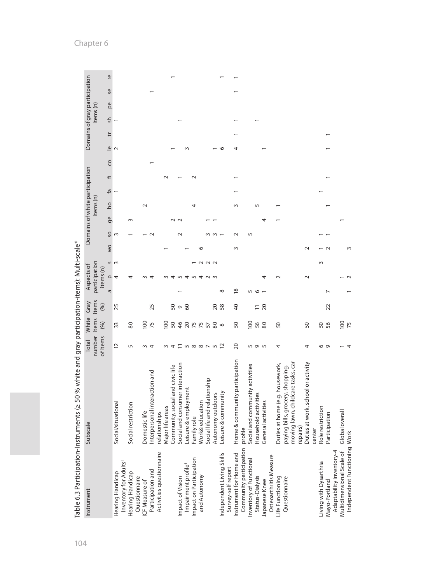|                                                       | Table 6.3 Participation-Instruments (≥ 50 % white and gray participation-items): Multi-scale* |                                      |                        |                       |                                          |                  |    |        |           |                                |   |    |                         |                               |           |    |           |  |
|-------------------------------------------------------|-----------------------------------------------------------------------------------------------|--------------------------------------|------------------------|-----------------------|------------------------------------------|------------------|----|--------|-----------|--------------------------------|---|----|-------------------------|-------------------------------|-----------|----|-----------|--|
| Instrument                                            | Subscale                                                                                      | of items<br>number<br><b>Total</b>   | White<br>items<br>(96) | items<br>Gray<br>(96) | participation<br>Aspects of<br>items (n) |                  |    |        | items (n) | Domains of white participation |   |    |                         | Domains of gray participation | items (n) |    |           |  |
|                                                       |                                                                                               |                                      |                        |                       | $\Omega$<br>Б                            | VO               | SO | ge     | <b>Dd</b> | ΕÀ                             | F | CO | $\overline{\mathbb{Q}}$ | ŧ                             | 등         | pe | <b>Se</b> |  |
| Inventory for Adults <sup>+</sup><br>Hearing Handicap | Social/situational                                                                            | 51                                   | 33                     | 25                    | 4                                        | s<br>3           | S  |        |           |                                |   |    | $\sim$                  |                               |           |    |           |  |
| Hearing Handicap<br>Questionnaire                     | Social restriction                                                                            | 5                                    | 80                     |                       |                                          |                  |    | $\sim$ |           |                                |   |    |                         |                               |           |    |           |  |
| ICF Measure of                                        | Domestic life                                                                                 | $\sim$                               |                        |                       |                                          |                  |    |        |           |                                |   |    |                         |                               |           |    |           |  |
| Participation and                                     | Interpersonal interaction and                                                                 | $\overline{4}$                       | $\frac{52}{100}$       | 25                    |                                          |                  |    |        |           |                                |   |    |                         |                               |           |    |           |  |
| Activities questionnaire                              | relationships                                                                                 |                                      |                        |                       |                                          |                  |    |        |           |                                |   |    |                         |                               |           |    |           |  |
|                                                       | Major life areas                                                                              | $\sim$                               | 100                    |                       |                                          |                  |    |        |           |                                |   |    |                         |                               |           |    |           |  |
|                                                       | Community, social and civic life                                                              | 4                                    | 8485558                | 50                    |                                          |                  |    |        |           |                                |   |    |                         |                               |           |    |           |  |
| Impact of Vision                                      | Social and consumer interaction                                                               | $\Xi$ in $\infty$ $\infty$ $\sim$ in |                        | $\sigma$              |                                          |                  |    | $\sim$ |           |                                |   |    |                         |                               |           |    |           |  |
| Impairment profile <sup>+</sup>                       | Leisure & employment                                                                          |                                      |                        | $\delta$              | 4                                        |                  |    |        |           |                                |   |    |                         |                               |           |    |           |  |
| Impact on Participation                               | Family role                                                                                   |                                      |                        |                       | $\sqrt{2}$                               |                  |    |        |           |                                |   |    |                         |                               |           |    |           |  |
| and Autonomy                                          | Work& education                                                                               |                                      |                        |                       | 4                                        | ١c               |    |        |           |                                |   |    |                         |                               |           |    |           |  |
|                                                       | Social life and relationship                                                                  |                                      |                        |                       | $\sim$ $\sim$                            | $\sim \sim \sim$ |    |        |           |                                |   |    |                         |                               |           |    |           |  |
|                                                       | Autonomy outdoors                                                                             |                                      |                        | $\overline{c}$        |                                          |                  |    |        |           |                                |   |    |                         |                               |           |    |           |  |
| Independent Living Skills                             | Leisure & community                                                                           | $\tilde{c}$                          | ${}^{\circ}$           | 58                    | $\infty$                                 |                  |    |        |           |                                |   |    | ١c                      |                               |           |    |           |  |
| Survey-self report                                    |                                                                                               |                                      |                        |                       |                                          |                  |    |        |           |                                |   |    |                         |                               |           |    |           |  |
| Instrument for Home and                               | Home & community participation                                                                | 20                                   | SO                     | $\overline{a}$        | $\frac{8}{2}$                            | $\sim$           |    |        |           |                                |   |    |                         |                               |           |    |           |  |
| Community participation                               | profile                                                                                       |                                      |                        |                       |                                          |                  |    |        |           |                                |   |    |                         |                               |           |    |           |  |
| Inventory of Functional                               | Social and community activities                                                               |                                      | 100                    |                       |                                          |                  |    |        |           |                                |   |    |                         |                               |           |    |           |  |
| Status-Dialysis                                       | Household activities                                                                          | <b>5955</b>                          | 56<br>80               | $\overline{2}$        |                                          |                  |    |        |           |                                |   |    |                         |                               |           |    |           |  |
| Osteoarthritis Measure<br>Japanese Knee               | General activities                                                                            |                                      |                        |                       |                                          |                  |    | 4      |           |                                |   |    |                         |                               |           |    |           |  |
| Life Functioning                                      | Duties at home (e.g. housework,                                                               | 4                                    | SO                     |                       |                                          |                  |    |        |           |                                |   |    |                         |                               |           |    |           |  |
| Questionnaire                                         | paying bills, grocery, shopping,                                                              |                                      |                        |                       |                                          |                  |    |        |           |                                |   |    |                         |                               |           |    |           |  |
|                                                       | moving lawn, childcare tasks, ca<br>repairs)                                                  |                                      |                        |                       |                                          |                  |    |        |           |                                |   |    |                         |                               |           |    |           |  |
|                                                       | Duties at work, school or activity                                                            | 4                                    | SO                     |                       |                                          |                  |    |        |           |                                |   |    |                         |                               |           |    |           |  |
|                                                       | center                                                                                        |                                      |                        |                       |                                          |                  |    |        |           |                                |   |    |                         |                               |           |    |           |  |
| Living with Dysarthria                                | Role restriction                                                                              | 0                                    | 56                     |                       |                                          | $\sim$           |    |        |           |                                |   |    |                         |                               |           |    |           |  |
| Adaptability Inventory-4<br>Mayo-Portland             | Participation                                                                                 | $\sigma$                             |                        | 22                    |                                          |                  |    |        |           |                                |   |    |                         |                               |           |    |           |  |
| Multidimensional Scale of                             | Global overal                                                                                 |                                      | $\frac{5}{2}$          |                       |                                          |                  |    |        |           |                                |   |    |                         |                               |           |    |           |  |
| Independent Functioning Work                          |                                                                                               |                                      |                        |                       |                                          |                  |    |        |           |                                |   |    |                         |                               |           |    |           |  |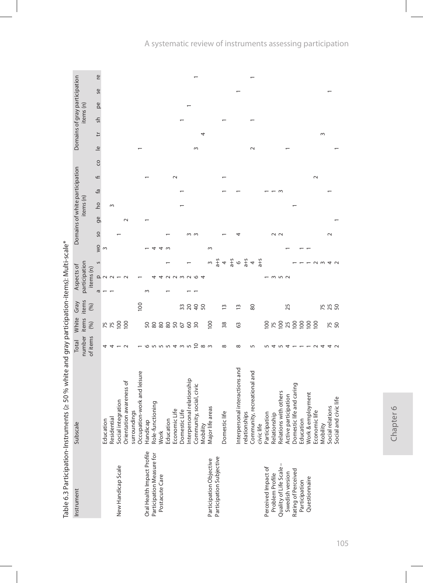|                            | a control de la construction de la construction de la construction de la construction de la construction de la construction de la construction de la construction de la construction de la construction de la construction de |                  |                  |                 |                         |                                          |    |               |                                |                |    |        |    |                               |               |           |    |    |
|----------------------------|-------------------------------------------------------------------------------------------------------------------------------------------------------------------------------------------------------------------------------|------------------|------------------|-----------------|-------------------------|------------------------------------------|----|---------------|--------------------------------|----------------|----|--------|----|-------------------------------|---------------|-----------|----|----|
| Instrument                 | Subscale                                                                                                                                                                                                                      | Total            | White            | Gray            |                         | Aspects of                               |    |               | Domains of white participation |                |    |        |    | Domains of gray participation |               |           |    |    |
|                            |                                                                                                                                                                                                                               | number           | items            | items           |                         | participation                            |    |               |                                | items (n)      |    |        |    |                               |               | items (n) |    |    |
|                            |                                                                                                                                                                                                                               | of items         | (96)             | (96)            |                         | items (n)                                |    |               |                                |                |    |        |    |                               |               |           |    |    |
|                            |                                                                                                                                                                                                                               |                  |                  |                 | $\overline{\mathrm{c}}$ | S<br>$\Omega$                            | VO | SO            | ge                             | $\overline{a}$ | £ā | F      | CO | F<br>$\overline{a}$           | $\frac{1}{2}$ | pe        | Se | re |
|                            | Education                                                                                                                                                                                                                     | 4                | 75               |                 |                         |                                          | 3  |               |                                |                |    |        |    |                               |               |           |    |    |
|                            | Residential                                                                                                                                                                                                                   | 4                |                  |                 |                         |                                          |    |               |                                | $\sim$         |    |        |    |                               |               |           |    |    |
| New Handicap Scale         | Social integration                                                                                                                                                                                                            |                  | 100              |                 |                         |                                          |    |               |                                |                |    |        |    |                               |               |           |    |    |
|                            | Orientation awareness of                                                                                                                                                                                                      | $\sim$           | $\overline{100}$ |                 |                         |                                          |    |               | $\sim$                         |                |    |        |    |                               |               |           |    |    |
|                            | surroundings                                                                                                                                                                                                                  |                  |                  |                 |                         |                                          |    |               |                                |                |    |        |    |                               |               |           |    |    |
|                            | Occupation-work and leisure                                                                                                                                                                                                   |                  |                  | 100             |                         |                                          |    |               |                                |                |    |        |    |                               |               |           |    |    |
| Oral Health Impact Profile | Handicap                                                                                                                                                                                                                      | ۱O               |                  |                 |                         |                                          |    |               |                                |                |    |        |    |                               |               |           |    |    |
| Participation Measure for  | Role-functioning                                                                                                                                                                                                              |                  | <b>28882682</b>  |                 |                         |                                          |    |               |                                |                |    |        |    |                               |               |           |    |    |
| Postacute Care             |                                                                                                                                                                                                                               |                  |                  |                 |                         |                                          |    |               |                                |                |    |        |    |                               |               |           |    |    |
|                            | Work<br>Education                                                                                                                                                                                                             | <b>583343434</b> |                  |                 |                         |                                          |    |               |                                |                |    |        |    |                               |               |           |    |    |
|                            |                                                                                                                                                                                                                               |                  |                  |                 |                         |                                          |    |               |                                |                |    | $\sim$ |    |                               |               |           |    |    |
|                            | Economic Life<br>Domestic Life                                                                                                                                                                                                |                  |                  |                 |                         | $\sim$                                   |    |               |                                |                |    |        |    |                               |               |           |    |    |
|                            | Interpersonal relationship                                                                                                                                                                                                    |                  |                  | 3200            |                         | $\sim$                                   |    |               |                                |                |    |        |    |                               |               |           |    |    |
|                            | Community, social, civic                                                                                                                                                                                                      |                  |                  |                 |                         | $\circ$                                  |    |               |                                |                |    |        |    | $\sim$                        |               |           |    |    |
|                            | Mobility                                                                                                                                                                                                                      |                  |                  |                 |                         | 4                                        |    |               |                                |                |    |        |    | 4                             |               |           |    |    |
| Participation Objective    | Major life areas                                                                                                                                                                                                              |                  | 100              |                 |                         | $\infty$                                 | S  |               |                                |                |    |        |    |                               |               |           |    |    |
| Participation Subjective   |                                                                                                                                                                                                                               |                  |                  |                 |                         |                                          |    |               |                                |                |    |        |    |                               |               |           |    |    |
|                            | Domestic life                                                                                                                                                                                                                 | ${}^{\circ}$     | 38               | 13              |                         | $a + 4$<br>$b + 5$<br>$c + 5$<br>$d + 5$ |    |               |                                |                |    |        |    |                               |               |           |    |    |
|                            |                                                                                                                                                                                                                               |                  |                  |                 |                         |                                          |    |               |                                |                |    |        |    |                               |               |           |    |    |
|                            | Interpersonal interactions and                                                                                                                                                                                                | $\infty$         | 63               | $\tilde{1}$     |                         |                                          |    |               |                                |                |    |        |    |                               |               |           |    |    |
|                            | relationships                                                                                                                                                                                                                 |                  |                  |                 |                         |                                          |    |               |                                |                |    |        |    |                               |               |           |    |    |
|                            | Community, recreational and                                                                                                                                                                                                   | 5                |                  | 80              |                         | $\overline{a}$                           |    |               |                                |                |    |        |    |                               |               |           |    |    |
|                            | civic life                                                                                                                                                                                                                    |                  |                  |                 |                         | $a + 5$                                  |    |               |                                |                |    |        |    |                               |               |           |    |    |
| Perceived Impact of        | Participation                                                                                                                                                                                                                 |                  |                  |                 |                         |                                          |    |               |                                |                |    |        |    |                               |               |           |    |    |
| Problem Profile            | Relationship                                                                                                                                                                                                                  | ₹                | <b>Skgwggggg</b> |                 |                         | $\sim$                                   |    | $\sim$ $\sim$ |                                |                |    |        |    |                               |               |           |    |    |
| Quality of Life Scale      | Relations with others                                                                                                                                                                                                         |                  |                  |                 |                         | 52                                       |    |               |                                |                |    |        |    |                               |               |           |    |    |
| Swedish version            | Active participation                                                                                                                                                                                                          | 4                |                  | 25              |                         |                                          |    |               |                                |                |    |        |    |                               |               |           |    |    |
| Rating of Perceived        | Domestic life and caring                                                                                                                                                                                                      |                  |                  |                 |                         |                                          |    |               |                                |                |    |        |    |                               |               |           |    |    |
| Participation              |                                                                                                                                                                                                                               |                  |                  |                 |                         |                                          |    |               |                                |                |    |        |    |                               |               |           |    |    |
| Questionnaire              | Education<br>Work & employment                                                                                                                                                                                                |                  |                  |                 |                         |                                          |    |               |                                |                |    |        |    |                               |               |           |    |    |
|                            | Economic life                                                                                                                                                                                                                 |                  |                  |                 |                         |                                          |    |               |                                |                |    | $\sim$ |    |                               |               |           |    |    |
|                            | Mobility                                                                                                                                                                                                                      | 4                |                  |                 |                         |                                          |    |               |                                |                |    |        |    | $\infty$                      |               |           |    |    |
|                            | Social relations                                                                                                                                                                                                              | 4                | 75<br>50         | <b>75</b><br>25 |                         |                                          |    |               |                                |                |    |        |    |                               |               |           |    |    |
|                            | Social and civic life                                                                                                                                                                                                         |                  |                  |                 |                         |                                          |    |               |                                |                |    |        |    |                               |               |           |    |    |
|                            |                                                                                                                                                                                                                               |                  |                  |                 |                         |                                          |    |               |                                |                |    |        |    |                               |               |           |    |    |

Table 6.3 Participation-Instruments ( $\geq$  50 % white and gray participation-items): Multi-scale\* Table 6.3 Participation-Instruments (≥ 50 % white and gray participation-items): Multi-scale\*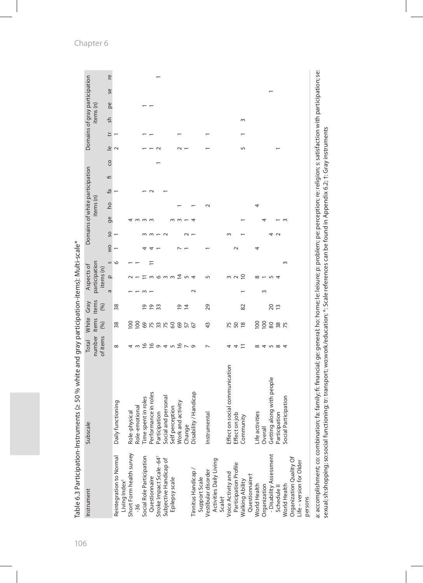| Performance in roles<br>Disability / Handicap<br>Social and personal<br>Time spent in roles<br>Daily functioning<br>Self perception<br>Work and activity<br>Role-emotional<br>Role-physical<br>Participation<br>Instrumental<br>Change<br>Short Form health survey<br>Reintegration to Normal<br>Social Role Participation<br>Stroke Impact Scale-64 <sup>+</sup><br>Activities Daily Living<br>Subjective Handicap of<br>Vestibular disorder<br><b>Tinnitus Handicap</b><br>Questionnaire<br>Epilepsy scale<br>Support Scale<br>Living Index <sup>+</sup><br>$-36$ | number<br>of items<br>$\frac{8}{1}$<br>$\frac{6}{2}$<br>$\sigma$<br>$\infty$ | items<br>(%)    | items          |        | participation              |         |                |    |           | Domains of white participation |                |    |                              |        |           | Domains of gray participation |   |
|---------------------------------------------------------------------------------------------------------------------------------------------------------------------------------------------------------------------------------------------------------------------------------------------------------------------------------------------------------------------------------------------------------------------------------------------------------------------------------------------------------------------------------------------------------------------|------------------------------------------------------------------------------|-----------------|----------------|--------|----------------------------|---------|----------------|----|-----------|--------------------------------|----------------|----|------------------------------|--------|-----------|-------------------------------|---|
|                                                                                                                                                                                                                                                                                                                                                                                                                                                                                                                                                                     |                                                                              |                 |                |        |                            |         |                |    | items (n) |                                |                |    |                              |        | items (n) |                               |   |
|                                                                                                                                                                                                                                                                                                                                                                                                                                                                                                                                                                     |                                                                              |                 | (96)           | ā      | S<br>items (n)<br>$\Omega$ | VO<br>N | SO <sub></sub> | ge | <b>DO</b> | ۴a                             | $\overline{+}$ | CO | ₽<br>$\overline{\mathsf{e}}$ | 우<br>인 | pe        | Se                            | Ľ |
|                                                                                                                                                                                                                                                                                                                                                                                                                                                                                                                                                                     |                                                                              | 38              | 38             |        | G                          |         |                |    |           |                                |                |    |                              |        |           |                               |   |
|                                                                                                                                                                                                                                                                                                                                                                                                                                                                                                                                                                     |                                                                              | 100             |                |        |                            |         |                |    |           |                                |                |    |                              |        |           |                               |   |
|                                                                                                                                                                                                                                                                                                                                                                                                                                                                                                                                                                     |                                                                              | $\overline{0}$  |                |        |                            |         |                |    |           |                                |                |    |                              |        |           |                               |   |
|                                                                                                                                                                                                                                                                                                                                                                                                                                                                                                                                                                     |                                                                              | 69              | <u>م</u>       |        |                            |         |                |    |           |                                |                |    |                              |        |           |                               |   |
|                                                                                                                                                                                                                                                                                                                                                                                                                                                                                                                                                                     |                                                                              | 75              | 5              |        |                            |         |                |    |           |                                |                |    |                              |        |           |                               |   |
|                                                                                                                                                                                                                                                                                                                                                                                                                                                                                                                                                                     |                                                                              | 33              | 33             |        |                            |         |                |    |           |                                |                |    |                              |        |           |                               |   |
|                                                                                                                                                                                                                                                                                                                                                                                                                                                                                                                                                                     |                                                                              | 75              |                |        |                            |         |                |    |           |                                |                |    |                              |        |           |                               |   |
|                                                                                                                                                                                                                                                                                                                                                                                                                                                                                                                                                                     | 4 n 5 n                                                                      | $\infty$        |                |        |                            |         |                |    |           |                                |                |    |                              |        |           |                               |   |
|                                                                                                                                                                                                                                                                                                                                                                                                                                                                                                                                                                     |                                                                              | 69              | ō.             |        | $\bar{4}$                  |         |                |    |           |                                |                |    |                              |        |           |                               |   |
|                                                                                                                                                                                                                                                                                                                                                                                                                                                                                                                                                                     |                                                                              | 57              | $\overline{4}$ |        |                            |         |                |    |           |                                |                |    |                              |        |           |                               |   |
|                                                                                                                                                                                                                                                                                                                                                                                                                                                                                                                                                                     | $\circ$                                                                      | 67              |                | $\sim$ |                            |         |                |    |           |                                |                |    |                              |        |           |                               |   |
|                                                                                                                                                                                                                                                                                                                                                                                                                                                                                                                                                                     |                                                                              |                 |                |        |                            |         |                |    |           |                                |                |    |                              |        |           |                               |   |
|                                                                                                                                                                                                                                                                                                                                                                                                                                                                                                                                                                     |                                                                              | 43              | 29             |        |                            |         |                |    |           |                                |                |    |                              |        |           |                               |   |
|                                                                                                                                                                                                                                                                                                                                                                                                                                                                                                                                                                     |                                                                              |                 |                |        |                            |         |                |    |           |                                |                |    |                              |        |           |                               |   |
| Scalet                                                                                                                                                                                                                                                                                                                                                                                                                                                                                                                                                              |                                                                              |                 |                |        |                            |         |                |    |           |                                |                |    |                              |        |           |                               |   |
| on social communication<br>Effect<br>Voice Activity and                                                                                                                                                                                                                                                                                                                                                                                                                                                                                                             |                                                                              | 75              |                |        |                            |         | 3              |    |           |                                |                |    |                              |        |           |                               |   |
| Effect on job<br>Participation Profile                                                                                                                                                                                                                                                                                                                                                                                                                                                                                                                              |                                                                              | 50 <sub>8</sub> |                |        |                            | $\sim$  |                |    |           |                                |                |    |                              |        |           |                               |   |
| Community<br>Questionnairet<br>Walking Ability                                                                                                                                                                                                                                                                                                                                                                                                                                                                                                                      |                                                                              |                 | 82             |        | $\overline{C}$             |         |                |    |           |                                |                |    | 5                            | 3      |           |                               |   |
| Life activities<br>World Health                                                                                                                                                                                                                                                                                                                                                                                                                                                                                                                                     | $\infty$                                                                     | 100             |                |        | $\infty$                   | 4       |                |    | 4         |                                |                |    |                              |        |           |                               |   |
| Overall<br>Organization                                                                                                                                                                                                                                                                                                                                                                                                                                                                                                                                             | 4                                                                            | 100             |                | $\sim$ |                            |         |                |    |           |                                |                |    |                              |        |           |                               |   |
| Getting along with people<br>- Disability Assessment                                                                                                                                                                                                                                                                                                                                                                                                                                                                                                                | $\sqrt{2}$                                                                   | 80              | $\overline{c}$ |        |                            |         |                |    |           |                                |                |    |                              |        |           |                               |   |
| Participation<br>Schedule <sub>II</sub>                                                                                                                                                                                                                                                                                                                                                                                                                                                                                                                             |                                                                              | 38<br>75        | $\overline{1}$ |        |                            |         | $\sim$         |    |           |                                |                |    |                              |        |           |                               |   |
| Participation<br>Social<br>World Health                                                                                                                                                                                                                                                                                                                                                                                                                                                                                                                             | 4                                                                            |                 |                |        | $\sim$                     |         |                |    |           |                                |                |    |                              |        |           |                               |   |
| Organization Quality Of                                                                                                                                                                                                                                                                                                                                                                                                                                                                                                                                             |                                                                              |                 |                |        |                            |         |                |    |           |                                |                |    |                              |        |           |                               |   |
| Life-version for Older                                                                                                                                                                                                                                                                                                                                                                                                                                                                                                                                              |                                                                              |                 |                |        |                            |         |                |    |           |                                |                |    |                              |        |           |                               |   |
| persons                                                                                                                                                                                                                                                                                                                                                                                                                                                                                                                                                             |                                                                              |                 |                |        |                            |         |                |    |           |                                |                |    |                              |        |           |                               |   |

sexual; sh:shopping; so:social functioning; tr: transport; wo:work/education; \*: Scale references can be found in Appendix 6.2; †: Gray instruments

sexual; sh:shopping; so:social functioning; tr: transport; wo:work/education; \*: Scale references can be found in Appendix 6.2; †: Gray instruments

ante (> 50 % white and aray participation\_iteme): Multi\_ccale\* Table 6.3 Participation-Instruments (≥ 50 % white and gray participation-items): Multi-scale\* Table 6.3 Participation-Instru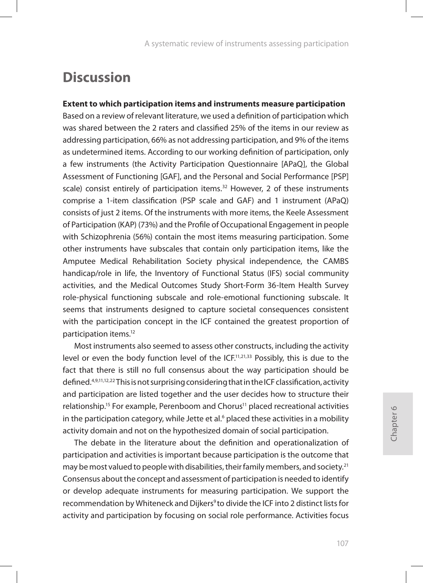# **Discussion**

### **Extent to which participation items and instruments measure participation**

Based on a review of relevant literature, we used a definition of participation which was shared between the 2 raters and classified 25% of the items in our review as addressing participation, 66% as not addressing participation, and 9% of the items as undetermined items. According to our working definition of participation, only a few instruments (the Activity Participation Questionnaire [APaQ], the Global Assessment of Functioning [GAF], and the Personal and Social Performance [PSP] scale) consist entirely of participation items.<sup>32</sup> However, 2 of these instruments comprise a 1-item classification (PSP scale and GAF) and 1 instrument (APaQ) consists of just 2 items. Of the instruments with more items, the Keele Assessment of Participation (KAP) (73%) and the Profile of Occupational Engagement in people with Schizophrenia (56%) contain the most items measuring participation. Some other instruments have subscales that contain only participation items, like the Amputee Medical Rehabilitation Society physical independence, the CAMBS handicap/role in life, the Inventory of Functional Status (IFS) social community activities, and the Medical Outcomes Study Short-Form 36-Item Health Survey role-physical functioning subscale and role-emotional functioning subscale. It seems that instruments designed to capture societal consequences consistent with the participation concept in the ICF contained the greatest proportion of participation items.12

Most instruments also seemed to assess other constructs, including the activity level or even the body function level of the ICF.<sup>11,21,33</sup> Possibly, this is due to the fact that there is still no full consensus about the way participation should be defined.4,9,11,12,22 This is not surprising considering that in the ICF classification, activity and participation are listed together and the user decides how to structure their relationship.<sup>15</sup> For example, Perenboom and Chorus<sup>11</sup> placed recreational activities in the participation category, while Jette et al. $\delta$  placed these activities in a mobility activity domain and not on the hypothesized domain of social participation.

The debate in the literature about the definition and operationalization of participation and activities is important because participation is the outcome that may be most valued to people with disabilities, their family members, and society.<sup>21</sup> Consensus about the concept and assessment of participation is needed to identify or develop adequate instruments for measuring participation. We support the recommendation by Whiteneck and Dijkers<sup>9</sup> to divide the ICF into 2 distinct lists for activity and participation by focusing on social role performance. Activities focus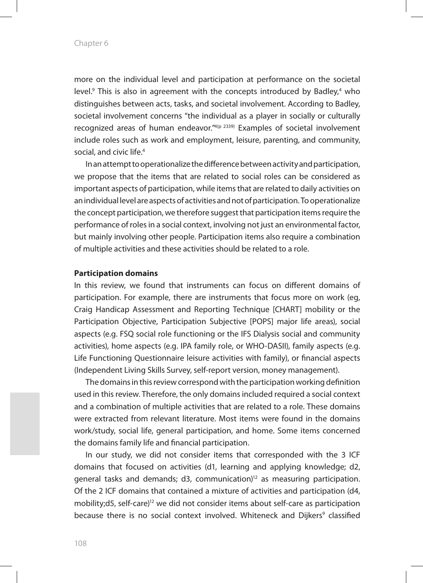more on the individual level and participation at performance on the societal level.<sup>9</sup> This is also in agreement with the concepts introduced by Badley,<sup>4</sup> who distinguishes between acts, tasks, and societal involvement. According to Badley, societal involvement concerns "the individual as a player in socially or culturally recognized areas of human endeavor.<sup>"4(p 2339)</sup> Examples of societal involvement include roles such as work and employment, leisure, parenting, and community, social, and civic life.4

In an attempt to operationalize the difference between activity and participation, we propose that the items that are related to social roles can be considered as important aspects of participation, while items that are related to daily activities on an individual level are aspects of activities and not of participation. To operationalize the concept participation, we therefore suggest that participation items require the performance of roles in a social context, involving not just an environmental factor, but mainly involving other people. Participation items also require a combination of multiple activities and these activities should be related to a role.

#### **Participation domains**

In this review, we found that instruments can focus on different domains of participation. For example, there are instruments that focus more on work (eg, Craig Handicap Assessment and Reporting Technique [CHART] mobility or the Participation Objective, Participation Subjective [POPS] major life areas), social aspects (e.g. FSQ social role functioning or the IFS Dialysis social and community activities), home aspects (e.g. IPA family role, or WHO-DASII), family aspects (e.g. Life Functioning Questionnaire leisure activities with family), or financial aspects (Independent Living Skills Survey, self-report version, money management).

The domains in this review correspond with the participation working definition used in this review. Therefore, the only domains included required a social context and a combination of multiple activities that are related to a role. These domains were extracted from relevant literature. Most items were found in the domains work/study, social life, general participation, and home. Some items concerned the domains family life and financial participation.

In our study, we did not consider items that corresponded with the 3 ICF domains that focused on activities (d1, learning and applying knowledge; d2, general tasks and demands; d3, communication)<sup>12</sup> as measuring participation. Of the 2 ICF domains that contained a mixture of activities and participation (d4, mobility;d5, self-care)<sup>12</sup> we did not consider items about self-care as participation because there is no social context involved. Whiteneck and Dijkers<sup>9</sup> classified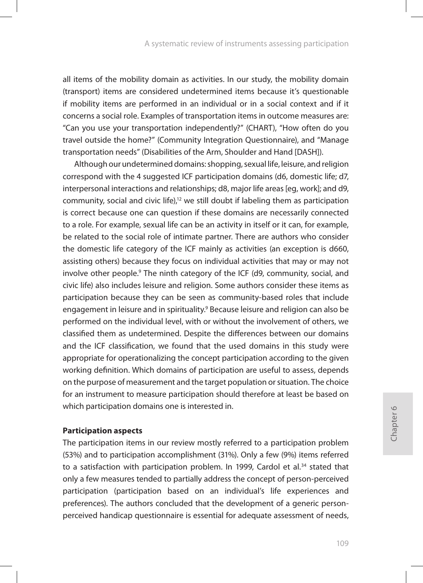all items of the mobility domain as activities. In our study, the mobility domain (transport) items are considered undetermined items because it's questionable if mobility items are performed in an individual or in a social context and if it concerns a social role. Examples of transportation items in outcome measures are: "Can you use your transportation independently?" (CHART), "How often do you travel outside the home?" (Community Integration Questionnaire), and "Manage transportation needs" (Disabilities of the Arm, Shoulder and Hand [DASH]).

Although our undetermined domains: shopping, sexual life, leisure, and religion correspond with the 4 suggested ICF participation domains (d6, domestic life; d7, interpersonal interactions and relationships; d8, major life areas [eg, work]; and d9, community, social and civic life),<sup>12</sup> we still doubt if labeling them as participation is correct because one can question if these domains are necessarily connected to a role. For example, sexual life can be an activity in itself or it can, for example, be related to the social role of intimate partner. There are authors who consider the domestic life category of the ICF mainly as activities (an exception is d660, assisting others) because they focus on individual activities that may or may not involve other people.<sup>9</sup> The ninth category of the ICF (d9, community, social, and civic life) also includes leisure and religion. Some authors consider these items as participation because they can be seen as community-based roles that include engagement in leisure and in spirituality.<sup>9</sup> Because leisure and religion can also be performed on the individual level, with or without the involvement of others, we classified them as undetermined. Despite the differences between our domains and the ICF classification, we found that the used domains in this study were appropriate for operationalizing the concept participation according to the given working definition. Which domains of participation are useful to assess, depends on the purpose of measurement and the target population or situation. The choice for an instrument to measure participation should therefore at least be based on which participation domains one is interested in.

### **Participation aspects**

The participation items in our review mostly referred to a participation problem (53%) and to participation accomplishment (31%). Only a few (9%) items referred to a satisfaction with participation problem. In 1999, Cardol et al.<sup>34</sup> stated that only a few measures tended to partially address the concept of person-perceived participation (participation based on an individual's life experiences and preferences). The authors concluded that the development of a generic personperceived handicap questionnaire is essential for adequate assessment of needs,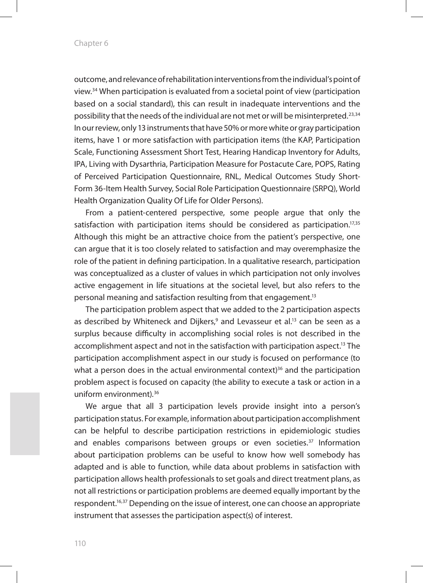outcome, and relevance of rehabilitation interventions from the individual's point of view.34 When participation is evaluated from a societal point of view (participation based on a social standard), this can result in inadequate interventions and the possibility that the needs of the individual are not met or will be misinterpreted.23,34 In our review, only 13 instruments that have 50% or more white or gray participation items, have 1 or more satisfaction with participation items (the KAP, Participation Scale, Functioning Assessment Short Test, Hearing Handicap Inventory for Adults, IPA, Living with Dysarthria, Participation Measure for Postacute Care, POPS, Rating of Perceived Participation Questionnaire, RNL, Medical Outcomes Study Short-Form 36-Item Health Survey, Social Role Participation Questionnaire (SRPQ), World Health Organization Quality Of Life for Older Persons).

From a patient-centered perspective, some people argue that only the satisfaction with participation items should be considered as participation.<sup>17,35</sup> Although this might be an attractive choice from the patient's perspective, one can argue that it is too closely related to satisfaction and may overemphasize the role of the patient in defining participation. In a qualitative research, participation was conceptualized as a cluster of values in which participation not only involves active engagement in life situations at the societal level, but also refers to the personal meaning and satisfaction resulting from that engagement.13

The participation problem aspect that we added to the 2 participation aspects as described by Whiteneck and Dijkers,<sup>9</sup> and Levasseur et al.<sup>13</sup> can be seen as a surplus because difficulty in accomplishing social roles is not described in the accomplishment aspect and not in the satisfaction with participation aspect.<sup>13</sup> The participation accomplishment aspect in our study is focused on performance (to what a person does in the actual environmental context)<sup>36</sup> and the participation problem aspect is focused on capacity (the ability to execute a task or action in a uniform environment).36

We argue that all 3 participation levels provide insight into a person's participation status. For example, information about participation accomplishment can be helpful to describe participation restrictions in epidemiologic studies and enables comparisons between groups or even societies.<sup>37</sup> Information about participation problems can be useful to know how well somebody has adapted and is able to function, while data about problems in satisfaction with participation allows health professionals to set goals and direct treatment plans, as not all restrictions or participation problems are deemed equally important by the respondent.<sup>16,37</sup> Depending on the issue of interest, one can choose an appropriate instrument that assesses the participation aspect(s) of interest.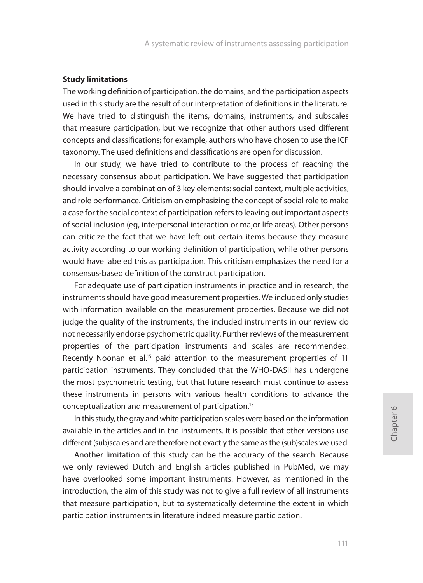#### **Study limitations**

The working definition of participation, the domains, and the participation aspects used in this study are the result of our interpretation of definitions in the literature. We have tried to distinguish the items, domains, instruments, and subscales that measure participation, but we recognize that other authors used different concepts and classifications; for example, authors who have chosen to use the ICF taxonomy. The used definitions and classifications are open for discussion.

In our study, we have tried to contribute to the process of reaching the necessary consensus about participation. We have suggested that participation should involve a combination of 3 key elements: social context, multiple activities, and role performance. Criticism on emphasizing the concept of social role to make a case for the social context of participation refers to leaving out important aspects of social inclusion (eg, interpersonal interaction or major life areas). Other persons can criticize the fact that we have left out certain items because they measure activity according to our working definition of participation, while other persons would have labeled this as participation. This criticism emphasizes the need for a consensus-based definition of the construct participation.

For adequate use of participation instruments in practice and in research, the instruments should have good measurement properties. We included only studies with information available on the measurement properties. Because we did not judge the quality of the instruments, the included instruments in our review do not necessarily endorse psychometric quality. Further reviews of the measurement properties of the participation instruments and scales are recommended. Recently Noonan et al.<sup>15</sup> paid attention to the measurement properties of 11 participation instruments. They concluded that the WHO-DASII has undergone the most psychometric testing, but that future research must continue to assess these instruments in persons with various health conditions to advance the conceptualization and measurement of participation.15

In this study, the gray and white participation scales were based on the information available in the articles and in the instruments. It is possible that other versions use different (sub)scales and are therefore not exactly the same as the (sub)scales we used.

Another limitation of this study can be the accuracy of the search. Because we only reviewed Dutch and English articles published in PubMed, we may have overlooked some important instruments. However, as mentioned in the introduction, the aim of this study was not to give a full review of all instruments that measure participation, but to systematically determine the extent in which participation instruments in literature indeed measure participation.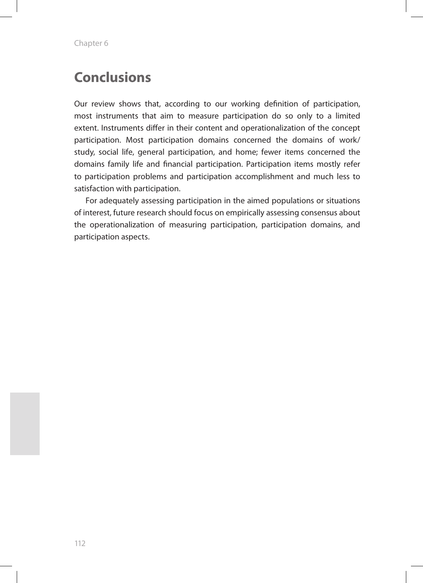# **Conclusions**

Our review shows that, according to our working definition of participation, most instruments that aim to measure participation do so only to a limited extent. Instruments differ in their content and operationalization of the concept participation. Most participation domains concerned the domains of work/ study, social life, general participation, and home; fewer items concerned the domains family life and financial participation. Participation items mostly refer to participation problems and participation accomplishment and much less to satisfaction with participation.

For adequately assessing participation in the aimed populations or situations of interest, future research should focus on empirically assessing consensus about the operationalization of measuring participation, participation domains, and participation aspects.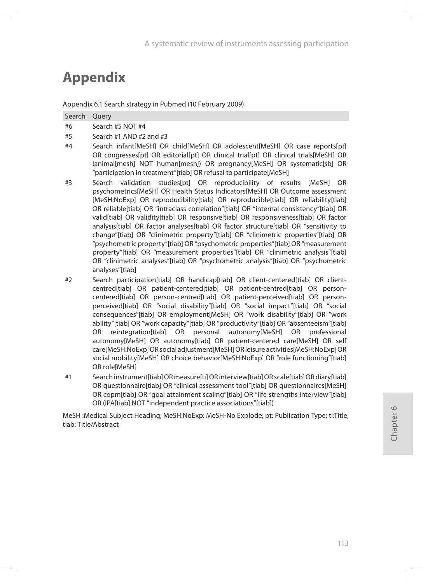# **Appendix**

Search Query

#6 Search #5 NOT #4  $#5$  Search #1 AND #2 and #3

Appendix 6.1 Search strategy in Pubmed (10 February 2009)

| Search infant[MeSH] OR child[MeSH] OR adolescent[MeSH] OR case reports[pt]<br>#4<br>OR congresses[pt] OR editorial[pt] OR clinical trial[pt] OR clinical trials[MeSH] OR<br>(animal[mesh] NOT human[mesh]) OR pregnancy[MeSH] OR systematic[sb] OR<br>"participation in treatment"[tiab] OR refusal to participate[MeSH]<br>Search validation studies [pt] OR reproducibility of results [MeSH] OR<br>#3<br>psychometrics[MeSH] OR Health Status Indicators[MeSH] OR Outcome assessment                                                                                                                                                                                                                                          |  |
|----------------------------------------------------------------------------------------------------------------------------------------------------------------------------------------------------------------------------------------------------------------------------------------------------------------------------------------------------------------------------------------------------------------------------------------------------------------------------------------------------------------------------------------------------------------------------------------------------------------------------------------------------------------------------------------------------------------------------------|--|
|                                                                                                                                                                                                                                                                                                                                                                                                                                                                                                                                                                                                                                                                                                                                  |  |
|                                                                                                                                                                                                                                                                                                                                                                                                                                                                                                                                                                                                                                                                                                                                  |  |
|                                                                                                                                                                                                                                                                                                                                                                                                                                                                                                                                                                                                                                                                                                                                  |  |
| [MeSH:NoExp] OR reproducibility[tiab] OR reproducible[tiab] OR reliability[tiab]<br>OR reliable[tiab] OR "intraclass correlation"[tiab] OR "internal consistency"[tiab] OR<br>valid[tiab] OR validity[tiab] OR responsive[tiab] OR responsiveness[tiab] OR factor<br>analysis[tiab] OR factor analyses[tiab] OR factor structure[tiab] OR "sensitivity to<br>change"[tiab] OR "clinimetric property"[tiab] OR "clinimetric properties"[tiab] OR<br>"psychometric property"[tiab] OR "psychometric properties"[tiab] OR "measurement<br>property"[tiab] OR "measurement properties"[tiab] OR "clinimetric analysis"[tiab]<br>OR "clinimetric analyses"[tiab] OR "psychometric analysis"[tiab] OR "psychometric<br>analyses"[tiab] |  |

#2 Search participation[tiab] OR handicap[tiab] OR client-centered[tiab] OR clientcentred[tiab] OR patient-centered[tiab] OR patient-centred[tiab] OR personcentered[tiab] OR person-centred[tiab] OR patient-perceived[tiab] OR personperceived[tiab] OR "social disability"[tiab] OR "social impact"[tiab] OR "social consequences"[tiab] OR employment[MeSH] OR "work disability"[tiab] OR "work ability"[tiab] OR "work capacity"[tiab] OR "productivity"[tiab] OR "absenteeism"[tiab] OR reintegration[tiab] OR personal autonomy[MeSH] OR professional autonomy[MeSH] OR autonomy[tiab] OR patient-centered care[MeSH] OR self care[MeSH:NoExp] OR social adjustment[MeSH] OR leisure activities[MeSH:NoExp] OR social mobility[MeSH] OR choice behavior[MeSH:NoExp] OR "role functioning"[tiab] OR role[MeSH]

#1 Search instrument[tiab] OR measure[ti] OR interview[tiab] OR scale[tiab] OR diary[tiab] OR questionnaire[tiab] OR "clinical assessment tool"[tiab] OR questionnaires[MeSH] OR copm[tiab] OR "goal attainment scaling"[tiab] OR "life strengths interview"[tiab] OR (IPA[tiab] NOT "independent practice associations"[tiab])

MeSH :Medical Subject Heading; MeSH:NoExp: MeSH-No Explode; pt: Publication Type; ti:Title; tiab: Title/Abstract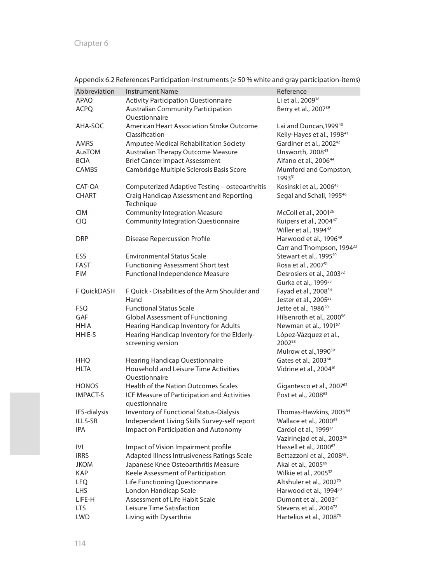| Abbreviation    | <b>Instrument Name</b>                                             | Reference                                                                    |
|-----------------|--------------------------------------------------------------------|------------------------------------------------------------------------------|
| APAQ            | <b>Activity Participation Questionnaire</b>                        | Li et al., 2009 <sup>38</sup>                                                |
| <b>ACPQ</b>     | <b>Australian Community Participation</b><br>Ouestionnaire         | Berry et al., 2007 <sup>39</sup>                                             |
| AHA-SOC         | <b>American Heart Association Stroke Outcome</b><br>Classification | Lai and Duncan, 1999 <sup>40</sup><br>Kelly-Hayes et al., 1998 <sup>41</sup> |
| AMRS            | Amputee Medical Rehabilitation Society                             | Gardiner et al., 2002 <sup>42</sup>                                          |
| AusTOM          | Australian Therapy Outcome Measure                                 | Unsworth, 200843                                                             |
| <b>BCIA</b>     | <b>Brief Cancer Impact Assessment</b>                              | Alfano et al., 200644                                                        |
| CAMBS           | Cambridge Multiple Sclerosis Basis Score                           | Mumford and Compston,<br>199331                                              |
| CAT-OA          | Computerized Adaptive Testing - osteoarthritis                     | Kosinski et al., 2006 <sup>45</sup>                                          |
| <b>CHART</b>    | Craig Handicap Assessment and Reporting<br>Technique               | Segal and Schall, 1995 <sup>46</sup>                                         |
| <b>CIM</b>      | <b>Community Integration Measure</b>                               | McColl et al., 2001 <sup>26</sup>                                            |
| <b>CIQ</b>      | <b>Community Integration Questionnaire</b>                         | Kuipers et al., 2004 <sup>47</sup>                                           |
|                 |                                                                    | Willer et al., 1994 <sup>48</sup>                                            |
| <b>DRP</b>      | <b>Disease Repercussion Profile</b>                                | Harwood et al., 1996 <sup>49</sup>                                           |
|                 |                                                                    | Carr and Thompson, 1994 <sup>23</sup>                                        |
| ESS             | <b>Environmental Status Scale</b>                                  | Stewart et al., 1995 <sup>50</sup>                                           |
| FAST            | <b>Functioning Assessment Short test</b>                           | Rosa et al., 2007 <sup>51</sup>                                              |
| <b>FIM</b>      | Functional Independence Measure                                    | Desrosiers et al., 2003 <sup>52</sup>                                        |
|                 |                                                                    | Gurka et al., 1999 <sup>53</sup>                                             |
| F QuickDASH     | F Quick - Disabilities of the Arm Shoulder and                     | Fayad et al., 2008 <sup>54</sup>                                             |
|                 | Hand                                                               | Jester et al., 2005 <sup>55</sup>                                            |
| FSQ             | <b>Functional Status Scale</b>                                     | Jette et al., 1986 <sup>20</sup>                                             |
| <b>GAF</b>      | <b>Global Assessment of Functioning</b>                            | Hilsenroth et al., 2000 <sup>56</sup>                                        |
| <b>HHIA</b>     | Hearing Handicap Inventory for Adults                              | Newman et al., 1991 <sup>57</sup>                                            |
| HHIE-S          | Hearing Handicap Inventory for the Elderly-                        | López-Vázquez et al.,                                                        |
|                 | screening version                                                  | 200258                                                                       |
|                 |                                                                    | Mulrow et al., 1990 <sup>59</sup>                                            |
| <b>HHQ</b>      | <b>Hearing Handicap Questionnaire</b>                              | Gates et al., 2003 <sup>60</sup>                                             |
| HLTA            | Household and Leisure Time Activities                              | Vidrine et al., 2004 <sup>61</sup>                                           |
|                 | Ouestionnaire                                                      |                                                                              |
| <b>HONOS</b>    | <b>Health of the Nation Outcomes Scales</b>                        | Gigantesco et al., 2007 <sup>62</sup>                                        |
| <b>IMPACT-S</b> | ICF Measure of Participation and Activities                        | Post et al., 2008 <sup>63</sup>                                              |
|                 | questionnaire                                                      |                                                                              |
| IFS-dialysis    | Inventory of Functional Status-Dialysis                            | Thomas-Hawkins, 2005 <sup>64</sup>                                           |
| ILLS-SR         | Independent Living Skills Survey-self report                       | Wallace et al., 2000 <sup>65</sup>                                           |
| <b>IPA</b>      | Impact on Participation and Autonomy                               | Cardol et al., 1999 <sup>17</sup>                                            |
|                 |                                                                    | Vazirinejad et al., 2003 <sup>66</sup>                                       |
| IVI             | Impact of Vision Impairment profile                                | Hassell et al., 2000 <sup>67</sup>                                           |
| <b>IRRS</b>     | Adapted Illness Intrusiveness Ratings Scale                        | Bettazzoni et al., 2008 <sup>68</sup> .                                      |
| <b>JKOM</b>     | Japanese Knee Osteoarthritis Measure                               | Akai et al., 2005 <sup>69</sup>                                              |
| KAP             | Keele Assessment of Participation                                  | Wilkie et al., 2005 <sup>32</sup>                                            |
| <b>LFQ</b>      | Life Functioning Questionnaire                                     | Altshuler et al., 200270                                                     |
| LHS             | London Handicap Scale                                              | Harwood et al., 1994 <sup>30</sup>                                           |
| LIFE-H          | Assessment of Life Habit Scale                                     | Dumont et al., 2003 <sup>71</sup>                                            |
| <b>LTS</b>      | Leisure Time Satisfaction                                          | Stevens et al., 2004 <sup>72</sup>                                           |
| <b>LWD</b>      | Living with Dysarthria                                             | Hartelius et al., 2008 <sup>73</sup>                                         |

Appendix 6.2 References Participation-Instruments (≥ 50 % white and gray participation-items)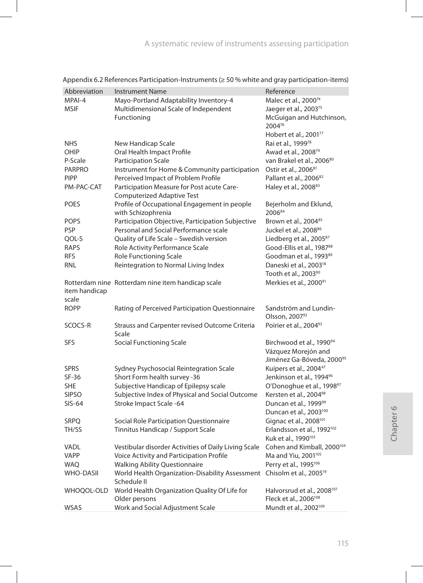| Abbreviation     | Instrument Name                                                                                   | Reference                                                                 |
|------------------|---------------------------------------------------------------------------------------------------|---------------------------------------------------------------------------|
| MPAI-4           | Mayo-Portland Adaptability Inventory-4                                                            | Malec et al., 2000 <sup>74</sup>                                          |
| <b>MSIF</b>      | Multidimensional Scale of Independent                                                             | Jaeger et al., 2003 <sup>75</sup>                                         |
|                  | Functioning                                                                                       | McGuigan and Hutchinson,                                                  |
|                  |                                                                                                   | 200476                                                                    |
|                  |                                                                                                   | Hobert et al., 2001 <sup>77</sup>                                         |
| <b>NHS</b>       | New Handicap Scale                                                                                | Rai et al., 199978                                                        |
| OHIP             | Oral Health Impact Profile                                                                        | Awad et al., 2008 <sup>79</sup>                                           |
| P-Scale          | <b>Participation Scale</b>                                                                        | van Brakel et al., 2006 <sup>80</sup>                                     |
| <b>PARPRO</b>    | Instrument for Home & Community participation                                                     | Ostir et al., 2006 <sup>81</sup>                                          |
| <b>PIPP</b>      | Perceived Impact of Problem Profile                                                               | Pallant et al., 2006 <sup>82</sup>                                        |
| PM-PAC-CAT       | Participation Measure for Post acute Care-<br><b>Computerized Adaptive Test</b>                   | Haley et al., 2008 <sup>83</sup>                                          |
| <b>POES</b>      | Profile of Occupational Engagement in people                                                      | Bejerholm and Eklund,                                                     |
|                  | with Schizophrenia                                                                                | 200684                                                                    |
| <b>POPS</b>      | Participation Objective, Participation Subjective                                                 | Brown et al., 2004 <sup>85</sup>                                          |
| PSP              | Personal and Social Performance scale                                                             | Juckel et al., 2008 <sup>86</sup>                                         |
| QOL-S            | Quality of Life Scale - Swedish version                                                           | Liedberg et al., 2005 <sup>87</sup>                                       |
| RAPS             | Role Activity Performance Scale                                                                   | Good-Ellis et al., 198788                                                 |
| <b>RFS</b>       | <b>Role Functioning Scale</b>                                                                     | Goodman et al., 1993 <sup>89</sup>                                        |
| <b>RNL</b>       | Reintegration to Normal Living Index                                                              | Daneski et al., 2003 <sup>18</sup>                                        |
|                  |                                                                                                   | Tooth et al., 2003 <sup>90</sup>                                          |
|                  | Rotterdam nine Rotterdam nine item handicap scale                                                 | Merkies et al., 2000 <sup>91</sup>                                        |
| item handicap    |                                                                                                   |                                                                           |
| scale            |                                                                                                   |                                                                           |
| <b>ROPP</b>      | Rating of Perceived Participation Questionnaire                                                   | Sandström and Lundin-                                                     |
|                  |                                                                                                   | Olsson, 200792                                                            |
| SCOCS-R          | Strauss and Carpenter revised Outcome Criteria<br>Scale                                           | Poirier et al., 2004 <sup>93</sup>                                        |
| SFS              | <b>Social Functioning Scale</b>                                                                   | Birchwood et al., 1990 <sup>94</sup>                                      |
|                  |                                                                                                   | Vázquez Morejón and                                                       |
|                  |                                                                                                   | Jiménez Ga-Bóveda, 200095                                                 |
| <b>SPRS</b>      | Sydney Psychosocial Reintegration Scale                                                           | Kuipers et al., 2004 <sup>47</sup>                                        |
| SF-36            | Short Form health survey -36                                                                      | Jenkinson et al., 1994 <sup>96</sup>                                      |
| SHE              | Subjective Handicap of Epilepsy scale                                                             | O'Donoghue et al., 199897                                                 |
| <b>SIPSO</b>     | Subjective Index of Physical and Social Outcome                                                   | Kersten et al., 2004 <sup>98</sup>                                        |
| SIS-64           | Stroke Impact Scale -64                                                                           | Duncan et al., 199999                                                     |
|                  |                                                                                                   | Duncan et al., 2003 <sup>100</sup>                                        |
| <b>SRPQ</b>      | Social Role Participation Questionnaire                                                           | Gignac et al., 2008 <sup>101</sup>                                        |
| TH/SS            | Tinnitus Handicap / Support Scale                                                                 | Erlandsson et al., 1992 <sup>102</sup><br>Kuk et al., 1990 <sup>103</sup> |
| VADL             | Vestibular disorder Activities of Daily Living Scale Cohen and Kimball, 2000 <sup>104</sup>       |                                                                           |
| <b>VAPP</b>      | Voice Activity and Participation Profile                                                          | Ma and Yiu, 2001 <sup>105</sup>                                           |
| <b>WAQ</b>       | <b>Walking Ability Questionnaire</b>                                                              | Perry et al., 1995 <sup>106</sup>                                         |
| <b>WHO-DASII</b> | World Health Organization-Disability Assessment Chisolm et al., 2005 <sup>19</sup><br>Schedule II |                                                                           |
| WHOQOL-OLD       | World Health Organization Quality Of Life for                                                     | Halvorsrud et al., 2008 <sup>107</sup>                                    |
|                  | Older persons                                                                                     | Fleck et al., 2006 <sup>108</sup>                                         |
| WSAS             | Work and Social Adjustment Scale                                                                  | Mundt et al., 2002 <sup>109</sup>                                         |

Appendix 6.2 References Participation-Instruments (≥ 50 % white and gray participation-items)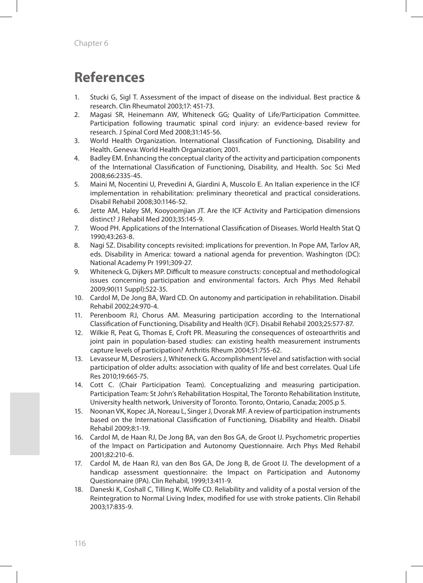# **References**

- 1. Stucki G, Sigl T. Assessment of the impact of disease on the individual. Best practice & research. Clin Rheumatol 2003;17: 451-73.
- 2. Magasi SR, Heinemann AW, Whiteneck GG; Quality of Life/Participation Committee. Participation following traumatic spinal cord injury: an evidence-based review for research. J Spinal Cord Med 2008;31:145-56.
- 3. World Health Organization. International Classification of Functioning, Disability and Health. Geneva: World Health Organization; 2001.
- 4. Badley EM. Enhancing the conceptual clarity of the activity and participation components of the International Classification of Functioning, Disability, and Health. Soc Sci Med 2008;66:2335-45.
- 5. Maini M, Nocentini U, Prevedini A, Giardini A, Muscolo E. An Italian experience in the ICF implementation in rehabilitation: preliminary theoretical and practical considerations. Disabil Rehabil 2008;30:1146-52.
- 6. Jette AM, Haley SM, Kooyoomjian JT. Are the ICF Activity and Participation dimensions distinct? J Rehabil Med 2003;35:145-9.
- 7. Wood PH. Applications of the International Classification of Diseases. World Health Stat Q 1990;43:263-8.
- 8. Nagi SZ. Disability concepts revisited: implications for prevention. In Pope AM, Tarlov AR, eds. Disability in America: toward a national agenda for prevention. Washington (DC): National Academy Pr 1991;309-27.
- 9. Whiteneck G, Dijkers MP. Difficult to measure constructs: conceptual and methodological issues concerning participation and environmental factors. Arch Phys Med Rehabil 2009;90(11 Suppl):S22-35.
- 10. Cardol M, De Jong BA, Ward CD. On autonomy and participation in rehabilitation. Disabil Rehabil 2002;24:970-4.
- 11. Perenboom RJ, Chorus AM. Measuring participation according to the International Classification of Functioning, Disability and Health (ICF). Disabil Rehabil 2003;25:577-87.
- 12. Wilkie R, Peat G, Thomas E, Croft PR. Measuring the consequences of osteoarthritis and joint pain in population-based studies: can existing health measurement instruments capture levels of participation? Arthritis Rheum 2004;51:755-62.
- 13. Levasseur M, Desrosiers J, Whiteneck G. Accomplishment level and satisfaction with social participation of older adults: association with quality of life and best correlates. Qual Life Res 2010;19:665-75.
- 14. Cott C. (Chair Participation Team). Conceptualizing and measuring participation. Participation Team: St John's Rehabilitation Hospital, The Toronto Rehabilitation Institute, University health network, University of Toronto. Toronto, Ontario, Canada; 2005.p 5.
- 15. Noonan VK, Kopec JA, Noreau L, Singer J, Dvorak MF. A review of participation instruments based on the International Classification of Functioning, Disability and Health. Disabil Rehabil 2009;8:1-19.
- 16. Cardol M, de Haan RJ, De Jong BA, van den Bos GA, de Groot IJ. Psychometric properties of the Impact on Participation and Autonomy Questionnaire. Arch Phys Med Rehabil 2001;82:210-6.
- 17. Cardol M, de Haan RJ, van den Bos GA, De Jong B, de Groot IJ. The development of a handicap assessment questionnaire: the Impact on Participation and Autonomy Questionnaire (IPA). Clin Rehabil, 1999;13:411-9.
- 18. Daneski K, Coshall C, Tilling K, Wolfe CD. Reliability and validity of a postal version of the Reintegration to Normal Living Index, modified for use with stroke patients. Clin Rehabil 2003;17:835-9.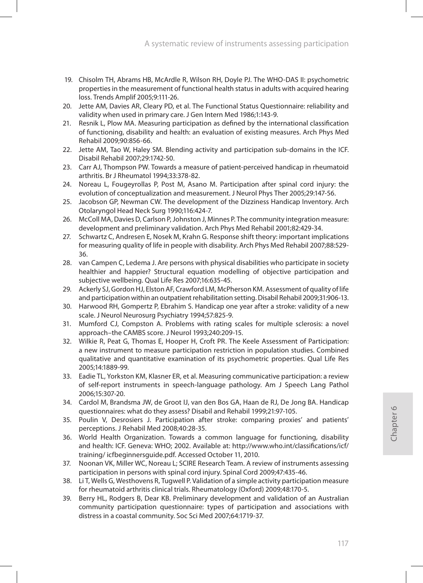- 19. Chisolm TH, Abrams HB, McArdle R, Wilson RH, Doyle PJ. The WHO-DAS II: psychometric properties in the measurement of functional health status in adults with acquired hearing loss. Trends Amplif 2005;9:111-26.
- 20. Jette AM, Davies AR, Cleary PD, et al. The Functional Status Questionnaire: reliability and validity when used in primary care. J Gen Intern Med 1986;1:143-9.
- 21. Resnik L, Plow MA. Measuring participation as defined by the international classification of functioning, disability and health: an evaluation of existing measures. Arch Phys Med Rehabil 2009;90:856-66.
- 22. Jette AM, Tao W, Haley SM. Blending activity and participation sub-domains in the ICF. Disabil Rehabil 2007;29:1742-50.
- 23. Carr AJ, Thompson PW. Towards a measure of patient-perceived handicap in rheumatoid arthritis. Br J Rheumatol 1994;33:378-82.
- 24. Noreau L, Fougeyrollas P, Post M, Asano M. Participation after spinal cord injury: the evolution of conceptualization and measurement. J Neurol Phys Ther 2005;29:147-56.
- 25. Jacobson GP, Newman CW. The development of the Dizziness Handicap Inventory. Arch Otolaryngol Head Neck Surg 1990;116:424-7.
- 26. McColl MA, Davies D, Carlson P, Johnston J, Minnes P. The community integration measure: development and preliminary validation. Arch Phys Med Rehabil 2001;82:429-34.
- 27. Schwartz C, Andresen E, Nosek M, Krahn G. Response shift theory: important implications for measuring quality of life in people with disability. Arch Phys Med Rehabil 2007;88:529- 36.
- 28. van Campen C, Ledema J. Are persons with physical disabilities who participate in society healthier and happier? Structural equation modelling of objective participation and subjective wellbeing. Qual Life Res 2007;16:635-45.
- 29. Ackerly SJ, Gordon HJ, Elston AF, Crawford LM, McPherson KM. Assessment of quality of life and participation within an outpatient rehabilitation setting. Disabil Rehabil 2009;31:906-13.
- 30. Harwood RH, Gompertz P, Ebrahim S. Handicap one year after a stroke: validity of a new scale. J Neurol Neurosurg Psychiatry 1994;57:825-9.
- 31. Mumford CJ, Compston A. Problems with rating scales for multiple sclerosis: a novel approach–the CAMBS score. J Neurol 1993;240:209-15.
- 32. Wilkie R, Peat G, Thomas E, Hooper H, Croft PR. The Keele Assessment of Participation: a new instrument to measure participation restriction in population studies. Combined qualitative and quantitative examination of its psychometric properties. Qual Life Res 2005;14:1889-99.
- 33. Eadie TL, Yorkston KM, Klasner ER, et al. Measuring communicative participation: a review of self-report instruments in speech-language pathology. Am J Speech Lang Pathol 2006;15:307-20.
- 34. Cardol M, Brandsma JW, de Groot IJ, van den Bos GA, Haan de RJ, De Jong BA. Handicap questionnaires: what do they assess? Disabil and Rehabil 1999;21:97-105.
- 35. Poulin V, Desrosiers J. Participation after stroke: comparing proxies' and patients' perceptions. J Rehabil Med 2008;40:28-35.
- 36. World Health Organization. Towards a common language for functioning, disability and health: ICF. Geneva: WHO; 2002. Available at: http://www.who.int/classifications/icf/ training/ icfbeginnersguide.pdf. Accessed October 11, 2010.
- 37. Noonan VK, Miller WC, Noreau L; SCIRE Research Team. A review of instruments assessing participation in persons with spinal cord injury. Spinal Cord 2009;47:435-46.
- 38. Li T, Wells G, Westhovens R, Tugwell P. Validation of a simple activity participation measure for rheumatoid arthritis clinical trials. Rheumatology (Oxford) 2009;48:170-5.
- 39. Berry HL, Rodgers B, Dear KB. Preliminary development and validation of an Australian community participation questionnaire: types of participation and associations with distress in a coastal community. Soc Sci Med 2007;64:1719-37.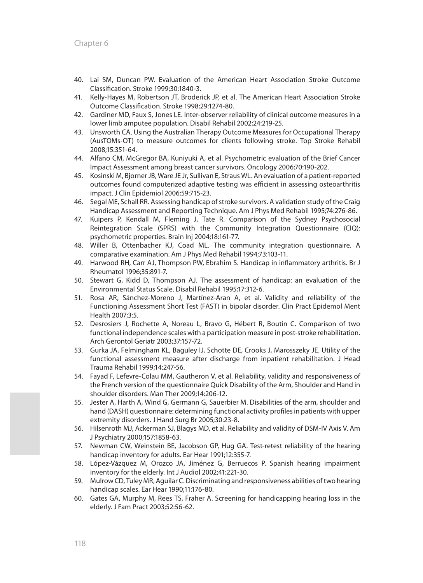- 40. Lai SM, Duncan PW. Evaluation of the American Heart Association Stroke Outcome Classification. Stroke 1999;30:1840-3.
- 41. Kelly-Hayes M, Robertson JT, Broderick JP, et al. The American Heart Association Stroke Outcome Classification. Stroke 1998;29:1274-80.
- 42. Gardiner MD, Faux S, Jones LE. Inter-observer reliability of clinical outcome measures in a lower limb amputee population. Disabil Rehabil 2002;24:219-25.
- 43. Unsworth CA. Using the Australian Therapy Outcome Measures for Occupational Therapy (AusTOMs-OT) to measure outcomes for clients following stroke. Top Stroke Rehabil 2008;15:351-64.
- 44. Alfano CM, McGregor BA, Kuniyuki A, et al. Psychometric evaluation of the Brief Cancer Impact Assessment among breast cancer survivors. Oncology 2006;70:190-202.
- 45. Kosinski M, Bjorner JB, Ware JE Jr, Sullivan E, Straus WL. An evaluation of a patient-reported outcomes found computerized adaptive testing was efficient in assessing osteoarthritis impact. J Clin Epidemiol 2006;59:715-23.
- 46. Segal ME, Schall RR. Assessing handicap of stroke survivors. A validation study of the Craig Handicap Assessment and Reporting Technique. Am J Phys Med Rehabil 1995;74:276-86.
- 47. Kuipers P, Kendall M, Fleming J, Tate R. Comparison of the Sydney Psychosocial Reintegration Scale (SPRS) with the Community Integration Questionnaire (CIQ): psychometric properties. Brain Inj 2004;18:161-77.
- 48. Willer B, Ottenbacher KJ, Coad ML. The community integration questionnaire. A comparative examination. Am J Phys Med Rehabil 1994;73:103-11.
- 49. Harwood RH, Carr AJ, Thompson PW, Ebrahim S. Handicap in inflammatory arthritis. Br J Rheumatol 1996;35:891-7.
- 50. Stewart G, Kidd D, Thompson AJ. The assessment of handicap: an evaluation of the Environmental Status Scale. Disabil Rehabil 1995;17:312-6.
- 51. Rosa AR, Sánchez-Moreno J, Martínez-Aran A, et al. Validity and reliability of the Functioning Assessment Short Test (FAST) in bipolar disorder. Clin Pract Epidemol Ment Health 2007;3:5.
- 52. Desrosiers J, Rochette A, Noreau L, Bravo G, Hébert R, Boutin C. Comparison of two functional independence scales with a participation measure in post-stroke rehabilitation. Arch Gerontol Geriatr 2003;37:157-72.
- 53. Gurka JA, Felmingham KL, Baguley IJ, Schotte DE, Crooks J, Marosszeky JE. Utility of the functional assessment measure after discharge from inpatient rehabilitation. J Head Trauma Rehabil 1999;14:247-56.
- 54. Fayad F, Lefevre-Colau MM, Gautheron V, et al. Reliability, validity and responsiveness of the French version of the questionnaire Quick Disability of the Arm, Shoulder and Hand in shoulder disorders. Man Ther 2009;14:206-12.
- 55. Jester A, Harth A, Wind G, Germann G, Sauerbier M. Disabilities of the arm, shoulder and hand (DASH) questionnaire: determining functional activity profiles in patients with upper extremity disorders. J Hand Surg Br 2005;30:23-8.
- 56. Hilsenroth MJ, Ackerman SJ, Blagys MD, et al. Reliability and validity of DSM-IV Axis V. Am J Psychiatry 2000;157:1858-63.
- 57. Newman CW, Weinstein BE, Jacobson GP, Hug GA. Test-retest reliability of the hearing handicap inventory for adults. Ear Hear 1991;12:355-7.
- 58. López-Vázquez M, Orozco JA, Jiménez G, Berruecos P. Spanish hearing impairment inventory for the elderly. Int J Audiol 2002;41:221-30.
- 59. Mulrow CD, Tuley MR, Aguilar C. Discriminating and responsiveness abilities of two hearing handicap scales. Ear Hear 1990;11:176-80.
- 60. Gates GA, Murphy M, Rees TS, Fraher A. Screening for handicapping hearing loss in the elderly. J Fam Pract 2003;52:56-62.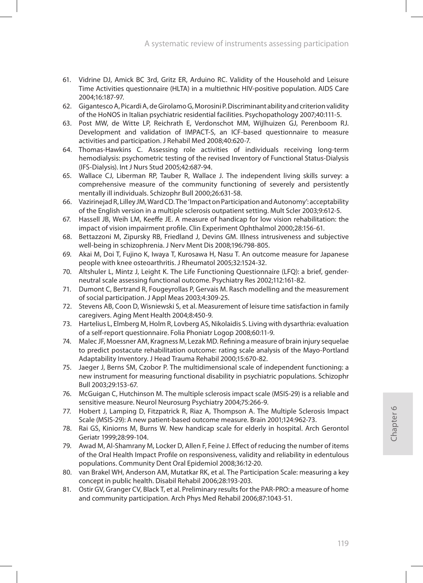- 61. Vidrine DJ, Amick BC 3rd, Gritz ER, Arduino RC. Validity of the Household and Leisure Time Activities questionnaire (HLTA) in a multiethnic HIV-positive population. AIDS Care 2004;16:187-97.
- 62. Gigantesco A, Picardi A, de Girolamo G, Morosini P. Discriminant ability and criterion validity of the HoNOS in Italian psychiatric residential facilities. Psychopathology 2007;40:111-5.
- 63. Post MW, de Witte LP, Reichrath E, Verdonschot MM, Wijlhuizen GJ, Perenboom RJ. Development and validation of IMPACT-S, an ICF-based questionnaire to measure activities and participation. J Rehabil Med 2008;40:620-7.
- 64. Thomas-Hawkins C. Assessing role activities of individuals receiving long-term hemodialysis: psychometric testing of the revised Inventory of Functional Status-Dialysis (IFS-Dialysis). Int J Nurs Stud 2005;42:687-94.
- 65. Wallace CJ, Liberman RP, Tauber R, Wallace J. The independent living skills survey: a comprehensive measure of the community functioning of severely and persistently mentally ill individuals. Schizophr Bull 2000;26:631-58.
- 66. Vazirinejad R, Lilley JM, Ward CD. The 'Impact on Participation and Autonomy': acceptability of the English version in a multiple sclerosis outpatient setting. Mult Scler 2003;9:612-5.
- 67. Hassell JB, Weih LM, Keeffe JE. A measure of handicap for low vision rehabilitation: the impact of vision impairment profile. Clin Experiment Ophthalmol 2000;28:156-61.
- 68. Bettazzoni M, Zipursky RB, Friedland J, Devins GM. Illness intrusiveness and subjective well-being in schizophrenia. J Nerv Ment Dis 2008;196:798-805.
- 69. Akai M, Doi T, Fujino K, Iwaya T, Kurosawa H, Nasu T. An outcome measure for Japanese people with knee osteoarthritis. J Rheumatol 2005;32:1524-32.
- 70. Altshuler L, Mintz J, Leight K. The Life Functioning Questionnaire (LFQ): a brief, genderneutral scale assessing functional outcome. Psychiatry Res 2002;112:161-82.
- 71. Dumont C, Bertrand R, Fougeyrollas P, Gervais M. Rasch modelling and the measurement of social participation. J Appl Meas 2003;4:309-25.
- 72. Stevens AB, Coon D, Wisniewski S, et al. Measurement of leisure time satisfaction in family caregivers. Aging Ment Health 2004;8:450-9.
- 73. Hartelius L, Elmberg M, Holm R, Lovberg AS, Nikolaidis S. Living with dysarthria: evaluation of a self-report questionnaire. Folia Phoniatr Logop 2008;60:11-9.
- 74. Malec JF, Moessner AM, Kragness M, Lezak MD. Refining a measure of brain injury sequelae to predict postacute rehabilitation outcome: rating scale analysis of the Mayo-Portland Adaptability Inventory. J Head Trauma Rehabil 2000;15:670-82.
- 75. Jaeger J, Berns SM, Czobor P. The multidimensional scale of independent functioning: a new instrument for measuring functional disability in psychiatric populations. Schizophr Bull 2003;29:153-67.
- 76. McGuigan C, Hutchinson M. The multiple sclerosis impact scale (MSIS-29) is a reliable and sensitive measure. Neurol Neurosurg Psychiatry 2004;75:266-9.
- 77. Hobert J, Lamping D, Fitzpatrick R, Riaz A, Thompson A. The Multiple Sclerosis Impact Scale (MSIS-29): A new patient-based outcome measure. Brain 2001;124:962-73.
- 78. Rai GS, Kiniorns M, Burns W. New handicap scale for elderly in hospital. Arch Gerontol Geriatr 1999;28:99-104.
- 79. Awad M, Al-Shamrany M, Locker D, Allen F, Feine J. Effect of reducing the number of items of the Oral Health Impact Profile on responsiveness, validity and reliability in edentulous populations. Community Dent Oral Epidemiol 2008;36:12-20.
- 80. van Brakel WH, Anderson AM, Mutatkar RK, et al. The Participation Scale: measuring a key concept in public health. Disabil Rehabil 2006;28:193-203.
- 81. Ostir GV, Granger CV, Black T, et al. Preliminary results for the PAR-PRO: a measure of home and community participation. Arch Phys Med Rehabil 2006;87:1043-51.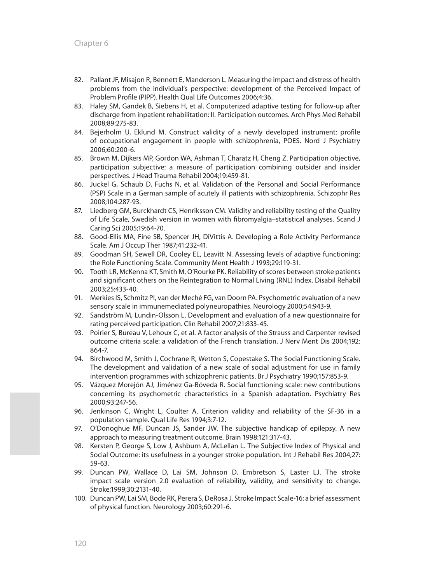- 82. Pallant JF, Misajon R, Bennett E, Manderson L. Measuring the impact and distress of health problems from the individual's perspective: development of the Perceived Impact of Problem Profile (PIPP). Health Qual Life Outcomes 2006;4:36.
- 83. Haley SM, Gandek B, Siebens H, et al. Computerized adaptive testing for follow-up after discharge from inpatient rehabilitation: II. Participation outcomes. Arch Phys Med Rehabil 2008;89:275-83.
- 84. Bejerholm U, Eklund M. Construct validity of a newly developed instrument: profile of occupational engagement in people with schizophrenia, POES. Nord J Psychiatry 2006;60:200-6.
- 85. Brown M, Dijkers MP, Gordon WA, Ashman T, Charatz H, Cheng Z. Participation objective, participation subjective: a measure of participation combining outsider and insider perspectives. J Head Trauma Rehabil 2004;19:459-81.
- 86. Juckel G, Schaub D, Fuchs N, et al. Validation of the Personal and Social Performance (PSP) Scale in a German sample of acutely ill patients with schizophrenia. Schizophr Res 2008;104:287-93.
- 87. Liedberg GM, Burckhardt CS, Henriksson CM. Validity and reliability testing of the Quality of Life Scale, Swedish version in women with fibromyalgia–statistical analyses. Scand J Caring Sci 2005;19:64-70.
- 88. Good-Ellis MA, Fine SB, Spencer JH, DiVittis A. Developing a Role Activity Performance Scale. Am J Occup Ther 1987;41:232-41.
- 89. Goodman SH, Sewell DR, Cooley EL, Leavitt N. Assessing levels of adaptive functioning: the Role Functioning Scale. Community Ment Health J 1993;29:119-31.
- 90. Tooth LR, McKenna KT, Smith M, O'Rourke PK. Reliability of scores between stroke patients and significant others on the Reintegration to Normal Living (RNL) Index. Disabil Rehabil 2003;25:433-40.
- 91. Merkies IS, Schmitz PI, van der Meché FG, van Doorn PA. Psychometric evaluation of a new sensory scale in immunemediated polyneuropathies. Neurology 2000;54:943-9.
- 92. Sandström M, Lundin-Olsson L. Development and evaluation of a new questionnaire for rating perceived participation. Clin Rehabil 2007;21:833-45.
- 93. Poirier S, Bureau V, Lehoux C, et al. A factor analysis of the Strauss and Carpenter revised outcome criteria scale: a validation of the French translation. J Nerv Ment Dis 2004;192: 864-7.
- 94. Birchwood M, Smith J, Cochrane R, Wetton S, Copestake S. The Social Functioning Scale. The development and validation of a new scale of social adjustment for use in family intervention programmes with schizophrenic patients. Br J Psychiatry 1990;157:853-9.
- 95. Vázquez Morejón AJ, Jiménez Ga-Bóveda R. Social functioning scale: new contributions concerning its psychometric characteristics in a Spanish adaptation. Psychiatry Res 2000;93:247-56.
- 96. Jenkinson C, Wright L, Coulter A. Criterion validity and reliability of the SF-36 in a population sample. Qual Life Res 1994;3:7-12.
- 97. O'Donoghue MF, Duncan JS, Sander JW. The subjective handicap of epilepsy. A new approach to measuring treatment outcome. Brain 1998:121:317-43.
- 98. Kersten P, George S, Low J, Ashburn A, McLellan L. The Subjective Index of Physical and Social Outcome: its usefulness in a younger stroke population. Int J Rehabil Res 2004;27: 59-63.
- 99. Duncan PW, Wallace D, Lai SM, Johnson D, Embretson S, Laster LJ. The stroke impact scale version 2.0 evaluation of reliability, validity, and sensitivity to change. Stroke;1999;30:2131-40.
- 100. Duncan PW, Lai SM, Bode RK, Perera S, DeRosa J. Stroke Impact Scale-16: a brief assessment of physical function. Neurology 2003;60:291-6.